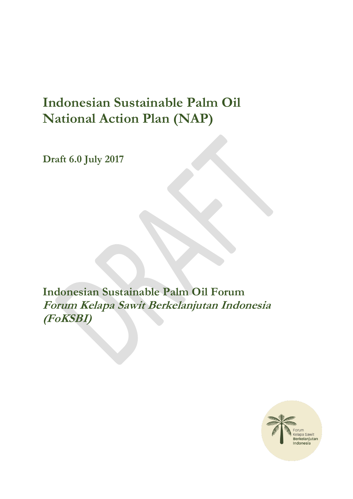# **Indonesian Sustainable Palm Oil National Action Plan (NAP)**

**Draft 6.0 July 2017** 

**Indonesian Sustainable Palm Oil Forum Forum Kelapa Sawit Berkelanjutan Indonesia (FoKSBI)**

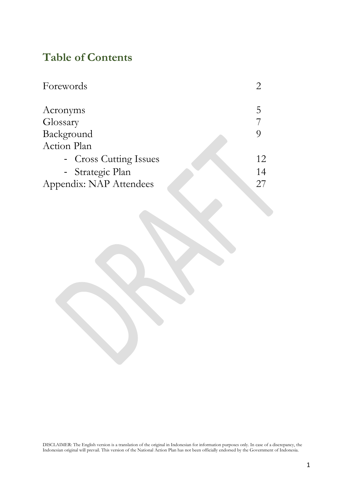# **Table of Contents**

| Forewords               |  |    |
|-------------------------|--|----|
| Acronyms                |  |    |
| Glossary                |  |    |
| Background              |  |    |
| Action Plan             |  |    |
| - Cross Cutting Issues  |  | 12 |
| - Strategic Plan        |  | 14 |
| Appendix: NAP Attendees |  | 27 |
|                         |  |    |

DISCLAIMER: The English version is a translation of the original in Indonesian for information purposes only. In case of a discrepancy, the Indonesian original will prevail. This version of the National Action Plan has not been officially endorsed by the Government of Indonesia.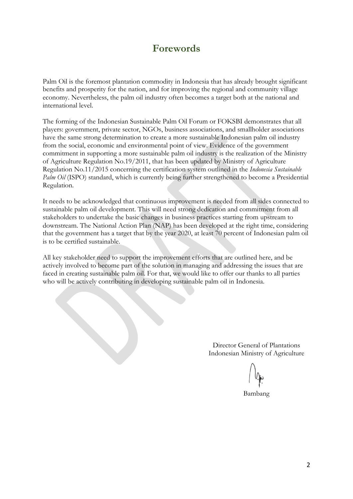### **Forewords**

Palm Oil is the foremost plantation commodity in Indonesia that has already brought significant benefits and prosperity for the nation, and for improving the regional and community village economy. Nevertheless, the palm oil industry often becomes a target both at the national and international level.

The forming of the Indonesian Sustainable Palm Oil Forum or FOKSBI demonstrates that all players: government, private sector, NGOs, business associations, and smallholder associations have the same strong determination to create a more sustainable Indonesian palm oil industry from the social, economic and environmental point of view. Evidence of the government commitment in supporting a more sustainable palm oil industry is the realization of the Ministry of Agriculture Regulation No.19/2011, that has been updated by Ministry of Agriculture Regulation No.11/2015 concerning the certification system outlined in the *Indonesia Sustainable Palm Oil* (ISPO) standard, which is currently being further strengthened to become a Presidential Regulation.

It needs to be acknowledged that continuous improvement is needed from all sides connected to sustainable palm oil development. This will need strong dedication and commitment from all stakeholders to undertake the basic changes in business practices starting from upstream to downstream. The National Action Plan (NAP) has been developed at the right time, considering that the government has a target that by the year 2020, at least 70 percent of Indonesian palm oil is to be certified sustainable.

All key stakeholder need to support the improvement efforts that are outlined here, and be actively involved to become part of the solution in managing and addressing the issues that are faced in creating sustainable palm oil. For that, we would like to offer our thanks to all parties who will be actively contributing in developing sustainable palm oil in Indonesia.

> Director General of Plantations Indonesian Ministry of Agriculture

Bambang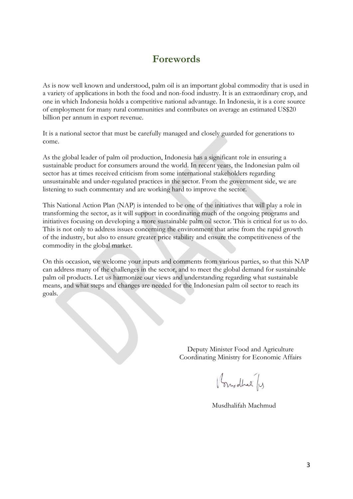# **Forewords**

As is now well known and understood, palm oil is an important global commodity that is used in a variety of applications in both the food and non-food industry. It is an extraordinary crop, and one in which Indonesia holds a competitive national advantage. In Indonesia, it is a core source of employment for many rural communities and contributes on average an estimated US\$20 billion per annum in export revenue.

It is a national sector that must be carefully managed and closely guarded for generations to come.

As the global leader of palm oil production, Indonesia has a significant role in ensuring a sustainable product for consumers around the world. In recent years, the Indonesian palm oil sector has at times received criticism from some international stakeholders regarding unsustainable and under-regulated practices in the sector. From the government side, we are listening to such commentary and are working hard to improve the sector.

This National Action Plan (NAP) is intended to be one of the initiatives that will play a role in transforming the sector, as it will support in coordinating much of the ongoing programs and initiatives focusing on developing a more sustainable palm oil sector. This is critical for us to do. This is not only to address issues concerning the environment that arise from the rapid growth of the industry, but also to ensure greater price stability and ensure the competitiveness of the commodity in the global market.

On this occasion, we welcome your inputs and comments from various parties, so that this NAP can address many of the challenges in the sector, and to meet the global demand for sustainable palm oil products. Let us harmonize our views and understanding regarding what sustainable means, and what steps and changes are needed for the Indonesian palm oil sector to reach its goals.

> Deputy Minister Food and Agriculture Coordinating Ministry for Economic Affairs

Vory dhal /y

Musdhalifah Machmud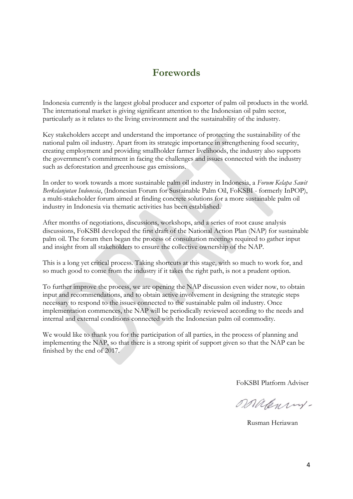## **Forewords**

Indonesia currently is the largest global producer and exporter of palm oil products in the world. The international market is giving significant attention to the Indonesian oil palm sector, particularly as it relates to the living environment and the sustainability of the industry.

Key stakeholders accept and understand the importance of protecting the sustainability of the national palm oil industry. Apart from its strategic importance in strengthening food security, creating employment and providing smallholder farmer livelihoods, the industry also supports the government's commitment in facing the challenges and issues connected with the industry such as deforestation and greenhouse gas emissions.

In order to work towards a more sustainable palm oil industry in Indonesia, a *Forum Kelapa Sawit Berkelanjutan Indonesia*, (Indonesian Forum for Sustainable Palm Oil, FoKSBI - formerly InPOP), a multi-stakeholder forum aimed at finding concrete solutions for a more sustainable palm oil industry in Indonesia via thematic activities has been established.

After months of negotiations, discussions, workshops, and a series of root cause analysis discussions, FoKSBI developed the first draft of the National Action Plan (NAP) for sustainable palm oil. The forum then began the process of consultation meetings required to gather input and insight from all stakeholders to ensure the collective ownership of the NAP.

This is a long yet critical process. Taking shortcuts at this stage, with so much to work for, and so much good to come from the industry if it takes the right path, is not a prudent option.

To further improve the process, we are opening the NAP discussion even wider now, to obtain input and recommendations, and to obtain active involvement in designing the strategic steps necessary to respond to the issues connected to the sustainable palm oil industry. Once implementation commences, the NAP will be periodically reviewed according to the needs and internal and external conditions connected with the Indonesian palm oil commodity.

We would like to thank you for the participation of all parties, in the process of planning and implementing the NAP, so that there is a strong spirit of support given so that the NAP can be finished by the end of 2017.

FoKSBI Platform Adviser

Malenry-

Rusman Heriawan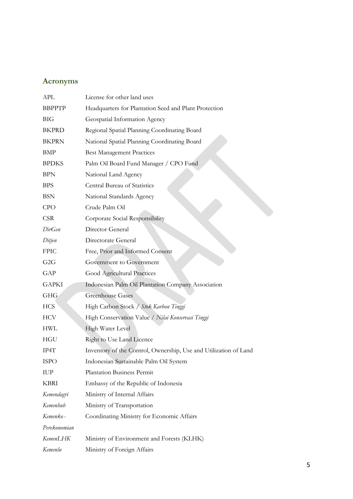### **Acronyms**

| <b>APL</b>      | License for other land uses                                      |
|-----------------|------------------------------------------------------------------|
| <b>BBPPTP</b>   | Headquarters for Plantation Seed and Plant Protection            |
| <b>BIG</b>      | Geospatial Information Agency                                    |
| <b>BKPRD</b>    | Regional Spatial Planning Coordinating Board                     |
| <b>BKPRN</b>    | National Spatial Planning Coordinating Board                     |
| <b>BMP</b>      | <b>Best Management Practices</b>                                 |
| <b>BPDKS</b>    | Palm Oil Board Fund Manager / CPO Fund                           |
| <b>BPN</b>      | National Land Agency                                             |
| <b>BPS</b>      | Central Bureau of Statistics                                     |
| <b>BSN</b>      | National Standards Agency                                        |
| <b>CPO</b>      | Crude Palm Oil                                                   |
| <b>CSR</b>      | Corporate Social Responsibility                                  |
| DirGen          | Director General                                                 |
| Ditjen          | Directorate General                                              |
| <b>FPIC</b>     | Free, Prior and Informed Consent                                 |
| G <sub>2G</sub> | Government to Government                                         |
| GAP             | Good Agricultural Practices                                      |
| <b>GAPKI</b>    | Indonesian Palm Oil Plantation Company Association               |
| <b>GHG</b>      | <b>Greenhouse Gases</b>                                          |
| <b>HCS</b>      | High Carbon Stock / Stok Karbon Tinggi                           |
| <b>HCV</b>      | High Conservation Value / Nilai Konservasi Tinggi                |
| <b>HWL</b>      | High Water Level                                                 |
| <b>HGU</b>      | Right to Use Land Licence                                        |
| IP4T            | Inventory of the Control, Ownership, Use and Utilization of Land |
| <b>ISPO</b>     | Indonesian Sustainable Palm Oil System                           |
| <b>IUP</b>      | <b>Plantation Business Permit</b>                                |
| <b>KBRI</b>     | Embassy of the Republic of Indonesia                             |
| Kemendagri      | Ministry of Internal Affairs                                     |
| Kemenhub        | Ministry of Transportation                                       |
| Kemenko -       | Coordinating Ministry for Economic Affairs                       |
| Perekonomian    |                                                                  |
| KemenLHK        | Ministry of Environment and Forests (KLHK)                       |
| Kemenlu         | Ministry of Foreign Affairs                                      |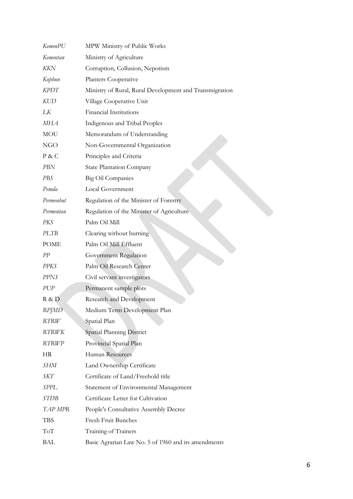| <b>KemenPU</b> | MPW Ministry of Public Works                            |
|----------------|---------------------------------------------------------|
| Kementan       | Ministry of Agriculture                                 |
| KKN            | Corruption, Collusion, Nepotism                         |
| Kopbun         | Planters Cooperative                                    |
| <b>KPDT</b>    | Ministry of Rural, Rural Development and Transmigration |
| <b>KUD</b>     | Village Cooperative Unit                                |
| LK             | Financial Institutions                                  |
| <b>MHA</b>     | Indigenous and Tribal Peoples                           |
| <b>MOU</b>     | Memorandum of Understanding                             |
| <b>NGO</b>     | Non-Governmental Organization                           |
| P & C          | Principles and Criteria                                 |
| PBN            | <b>State Plantation Company</b>                         |
| PBS            | Big Oil Companies                                       |
| Pemda          | Local Government                                        |
| Permenhut      | Regulation of the Minister of Forestry                  |
| Permentan      | Regulation of the Minister of Agriculture               |
| PKS            | Palm Oil Mill                                           |
| <b>PLTB</b>    | Clearing without burning                                |
| <b>POME</b>    | Palm Oil Mill Effluent                                  |
| PР             | Government Regulation                                   |
| <b>PPKS</b>    | Palm Oil Research Center                                |
| PPNS           | Civil servant investigators                             |
| PUP            | Permanent sample plots                                  |
| R & D          | Research and Development                                |
| <b>RPJMD</b>   | Medium Term Development Plan                            |
| <b>RTRW</b>    | Spatial Plan                                            |
| RTRWK          | Spatial Planning District                               |
| <b>RTRWP</b>   | Provincial Spatial Plan                                 |
| HR             | Human Resources                                         |
| SHM            | Land Ownership Certificate                              |
| SKT            | Certificate of Land/Freehold title                      |
| ${\it SPPL}$   | Statement of Environmental Management                   |
| <i>STDB</i>    | Certificate Letter for Cultivation                      |
| TAP MPR        | People's Consultative Assembly Decree                   |
| TBS            | Fresh Fruit Bunches                                     |
| ToT            | Training of Trainers                                    |
| BAL            | Basic Agrarian Law No. 5 of 1960 and its amendments     |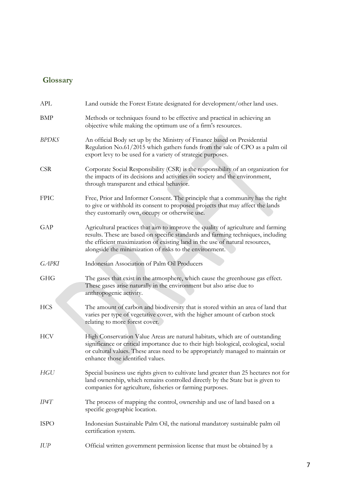## **Glossary**

| APL          | Land outside the Forest Estate designated for development/other land uses.                                                                                                                                                                                                                                       |
|--------------|------------------------------------------------------------------------------------------------------------------------------------------------------------------------------------------------------------------------------------------------------------------------------------------------------------------|
| BMP          | Methods or techniques found to be effective and practical in achieving an<br>objective while making the optimum use of a firm's resources.                                                                                                                                                                       |
| <b>BPDKS</b> | An official Body set up by the Ministry of Finance based on Presidential<br>Regulation No.61/2015 which gathers funds from the sale of CPO as a palm oil<br>export levy to be used for a variety of strategic purposes.                                                                                          |
| <b>CSR</b>   | Corporate Social Responsibility (CSR) is the responsibility of an organization for<br>the impacts of its decisions and activities on society and the environment,<br>through transparent and ethical behavior.                                                                                                   |
| <b>FPIC</b>  | Free, Prior and Informer Consent. The principle that a community has the right<br>to give or withhold its consent to proposed projects that may affect the lands<br>they customarily own, occupy or otherwise use.                                                                                               |
| GAP          | Agricultural practices that aim to improve the quality of agriculture and farming<br>results. These are based on specific standards and farming techniques, including<br>the efficient maximization of existing land in the use of natural resources,<br>alongside the minimization of risks to the environment. |
| <b>GAPKI</b> | Indonesian Association of Palm Oil Producers                                                                                                                                                                                                                                                                     |
| <b>GHG</b>   | The gases that exist in the atmosphere, which cause the greenhouse gas effect.<br>These gases arise naturally in the environment but also arise due to<br>anthropogenic activity.                                                                                                                                |
| <b>HCS</b>   | The amount of carbon and biodiversity that is stored within an area of land that<br>varies per type of vegetative cover, with the higher amount of carbon stock<br>relating to more forest cover.                                                                                                                |
| <b>HCV</b>   | High Conservation Value Areas are natural habitats, which are of outstanding<br>significance or critical importance due to their high biological, ecological, social<br>or cultural values. These areas need to be appropriately managed to maintain or<br>enhance those identified values.                      |
| HGU          | Special business use rights given to cultivate land greater than 25 hectares not for<br>land ownership, which remains controlled directly by the State but is given to<br>companies for agriculture, fisheries or farming purposes.                                                                              |
| IP4T         | The process of mapping the control, ownership and use of land based on a<br>specific geographic location.                                                                                                                                                                                                        |
| <b>ISPO</b>  | Indonesian Sustainable Palm Oil, the national mandatory sustainable palm oil<br>certification system.                                                                                                                                                                                                            |
| <b>IUP</b>   | Official written government permission license that must be obtained by a                                                                                                                                                                                                                                        |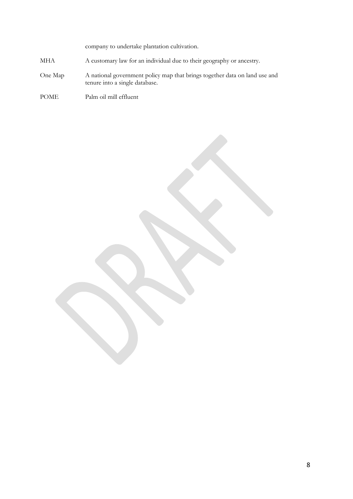company to undertake plantation cultivation.

- MHA A customary law for an individual due to their geography or ancestry.
- One Map A national government policy map that brings together data on land use and tenure into a single database.
- POME Palm oil mill effluent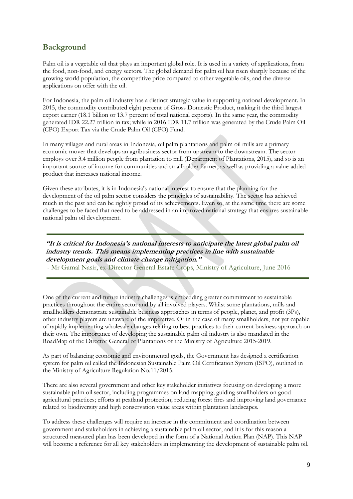### **Background**

Palm oil is a vegetable oil that plays an important global role. It is used in a variety of applications, from the food, non-food, and energy sectors. The global demand for palm oil has risen sharply because of the growing world population, the competitive price compared to other vegetable oils, and the diverse applications on offer with the oil.

For Indonesia, the palm oil industry has a distinct strategic value in supporting national development. In 2015, the commodity contributed eight percent of Gross Domestic Product, making it the third largest export earner (18.1 billion or 13.7 percent of total national exports). In the same year, the commodity generated IDR 22.27 trillion in tax; while in 2016 IDR 11.7 trillion was generated by the Crude Palm Oil (CPO) Export Tax via the Crude Palm Oil (CPO) Fund.

In many villages and rural areas in Indonesia, oil palm plantations and palm oil mills are a primary economic mover that develops an agribusiness sector from upstream to the downstream. The sector employs over 3.4 million people from plantation to mill (Department of Plantations, 2015), and so is an important source of income for communities and smallholder farmer, as well as providing a value-added product that increases national income.

Given these attributes, it is in Indonesia's national interest to ensure that the planning for the development of the oil palm sector considers the principles of sustainability. The sector has achieved much in the past and can be rightly proud of its achievements. Even so, at the same time there are some challenges to be faced that need to be addressed in an improved national strategy that ensures sustainable national palm oil development.

**"It is critical for Indonesia's national interests to anticipate the latest global palm oil industry trends. This means implementing practices in line with sustainable development goals and climate change mitigation."**

- Mr Gamal Nasir, ex-Director General Estate Crops, Ministry of Agriculture, June 2016

One of the current and future industry challenges is embedding greater commitment to sustainable practices throughout the entire sector and by all involved players. Whilst some plantations, mills and smallholders demonstrate sustainable business approaches in terms of people, planet, and profit (3Ps), other industry players are unaware of the imperative. Or in the case of many smallholders, not yet capable of rapidly implementing wholesale changes relating to best practices to their current business approach on their own. The importance of developing the sustainable palm oil industry is also mandated in the RoadMap of the Director General of Plantations of the Ministry of Agriculture 2015-2019.

As part of balancing economic and environmental goals, the Government has designed a certification system for palm oil called the Indonesian Sustainable Palm Oil Certification System (ISPO), outlined in the Ministry of Agriculture Regulation No.11/2015.

There are also several government and other key stakeholder initiatives focusing on developing a more sustainable palm oil sector, including programmes on land mapping; guiding smallholders on good agricultural practices; efforts at peatland protection; reducing forest fires and improving land governance related to biodiversity and high conservation value areas within plantation landscapes.

To address these challenges will require an increase in the commitment and coordination between government and stakeholders in achieving a sustainable palm oil sector, and it is for this reason a structured measured plan has been developed in the form of a National Action Plan (NAP). This NAP will become a reference for all key stakeholders in implementing the development of sustainable palm oil.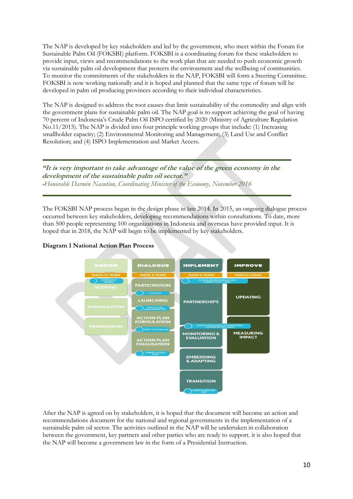The NAP is developed by key stakeholders and led by the government, who meet within the Forum for Sustainable Palm Oil (FOKSBI) platform. FOKSBI is a coordinating forum for these stakeholders to provide input, views and recommendations to the work plan that are needed to push economic growth via sustainable palm oil development that protects the environment and the wellbeing of communities. To monitor the commitments of the stakeholders in the NAP, FOKSBI will form a Steering Committee. FOKSBI is now working nationally and it is hoped and planned that the same type of forum will be developed in palm oil producing provinces according to their individual characteristics.

The NAP is designed to address the root causes that limit sustainability of the commodity and align with the government plans for sustainable palm oil. The NAP goal is to support achieving the goal of having 70 percent of Indonesia's Crude Palm Oil ISPO certified by 2020 (Ministry of Agriculture Regulation No.11/2015). The NAP is divided into four principle working groups that include: (1) Increasing smallholder capacity; (2) Environmental Monitoring and Management; (3) Land Use and Conflict Resolution; and (4) ISPO Implementation and Market Access.

**"It is very important to take advantage of the value of the green economy in the development of the sustainable palm oil sector." -***Honorable Darmin Nasution, Coordinating Minister of the Economy, November 2016*

The FOKSBI NAP process began in the design phase in late 2014. In 2015, an ongoing dialogue process occurred between key stakeholders, developing recommendations within consultations. To date, more than 500 people representing 100 organizations in Indonesia and overseas have provided input. It is hoped that in 2018, the NAP will begin to be implemented by key stakeholders.



#### **Diagram 1 National Action Plan Process**

After the NAP is agreed on by stakeholders, it is hoped that the document will become an action and recommendations document for the national and regional governments in the implementation of a sustainable palm oil sector. The activities outlined in the NAP will be undertaken in collaboration between the government, key partners and other parties who are ready to support. it is also hoped that the NAP will become a government law in the form of a Presidential Instruction.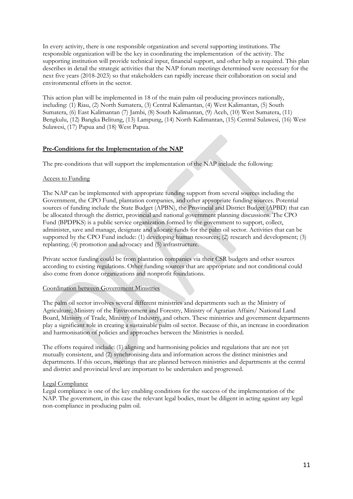In every activity, there is one responsible organization and several supporting institutions. The responsible organization will be the key in coordinating the implementation of the activity. The supporting institution will provide technical input, financial support, and other help as required. This plan describes in detail the strategic activities that the NAP forum meetings determined were necessary for the next five years (2018-2023) so that stakeholders can rapidly increase their collaboration on social and environmental efforts in the sector.

This action plan will be implemented in 18 of the main palm oil producing provinces nationally, including: (1) Riau, (2) North Sumatera, (3) Central Kalimantan, (4) West Kalimantan, (5) South Sumatera, (6) East Kalimantan (7) Jambi, (8) South Kalimantan, (9) Aceh, (10) West Sumatera, (11) Bengkulu, (12) Bangka Belitung, (13) Lampung, (14) North Kalimantan, (15) Central Sulawesi, (16) West Sulawesi, (17) Papua and (18) West Papua.

#### **Pre-Conditions for the Implementation of the NAP**

The pre-conditions that will support the implementation of the NAP include the following:

#### Access to Funding

The NAP can be implemented with appropriate funding support from several sources including the Government, the CPO Fund, plantation companies, and other appropriate funding sources. Potential sources of funding include the State Budget (APBN), the Provincial and District Budget (APBD) that can be allocated through the district, provincial and national government planning discussions. The CPO Fund (BPDPKS) is a public service organization formed by the government to support, collect, administer, save and manage, designate and allocate funds for the palm oil sector. Activities that can be supported by the CPO Fund include: (1) developing human resources; (2) research and development; (3) replanting; (4) promotion and advocacy and (5) infrastructure.

Private sector funding could be from plantation companies via their CSR budgets and other sources according to existing regulations. Other funding sources that are appropriate and not conditional could also come from donor organizations and nonprofit foundations.

#### Coordination between Government Ministries

The palm oil sector involves several different ministries and departments such as the Ministry of Agriculture, Ministry of the Environment and Forestry, Ministry of Agrarian Affairs/ National Land Board, Ministry of Trade, Ministry of Industry, and others. These ministries and government departments play a significant role in creating a sustainable palm oil sector. Because of this, an increase in coordination and harmonisation of policies and approaches between the Ministries is needed.

The efforts required include: (1) aligning and harmonising policies and regulations that are not yet mutually consistent, and (2) synchronising data and information across the distinct ministries and departments. If this occurs, meetings that are planned between ministries and departments at the central and district and provincial level are important to be undertaken and progressed.

#### Legal Compliance

Legal compliance is one of the key enabling conditions for the success of the implementation of the NAP. The government, in this case the relevant legal bodies, must be diligent in acting against any legal non-compliance in producing palm oil.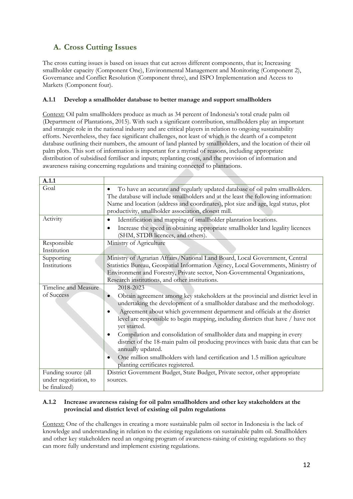### **A. Cross Cutting Issues**

The cross cutting issues is based on issues that cut across different components, that is; Increasing smallholder capacity (Component One), Environmental Management and Monitoring (Component 2), Governance and Conflict Resolution (Component three), and ISPO Implementation and Access to Markets (Component four).

#### **A.1.1 Develop a smallholder database to better manage and support smallholders**

Context: Oil palm smallholders produce as much as 34 percent of Indonesia's total crude palm oil (Department of Plantations, 2015). With such a significant contribution, smallholders play an important and strategic role in the national industry and are critical players in relation to ongoing sustainability efforts. Nevertheless, they face significant challenges, not least of which is the dearth of a competent database outlining their numbers, the amount of land planted by smallholders, and the location of their oil palm plots. This sort of information is important for a myriad of reasons, including appropriate distribution of subsidised fertiliser and inputs; replanting costs, and the provision of information and awareness raising concerning regulations and training connected to plantations.

| A.1.1                 |                                                                                                                                                                                                                                                                                                                                                                          |
|-----------------------|--------------------------------------------------------------------------------------------------------------------------------------------------------------------------------------------------------------------------------------------------------------------------------------------------------------------------------------------------------------------------|
| Goal                  | To have an accurate and regularly updated database of oil palm smallholders.<br>٠<br>The database will include smallholders and at the least the following information:<br>Name and location (address and coordinates), plot size and age, legal status, plot<br>productivity, smallholder association, closest mill.                                                    |
| Activity              | Identification and mapping of smallholder plantation locations.<br>$\bullet$                                                                                                                                                                                                                                                                                             |
|                       | Increase the speed in obtaining appropriate smallholder land legality licences<br>$\bullet$<br>(SHM, STDB licences, and others).                                                                                                                                                                                                                                         |
| Responsible           | Ministry of Agriculture                                                                                                                                                                                                                                                                                                                                                  |
| Institution           |                                                                                                                                                                                                                                                                                                                                                                          |
| Supporting            | Ministry of Agrarian Affairs/National Land Board, Local Government, Central                                                                                                                                                                                                                                                                                              |
| Institutions          | Statistics Bureau, Geospatial Information Agency, Local Governments, Ministry of                                                                                                                                                                                                                                                                                         |
|                       | Environment and Forestry, Private sector, Non-Governmental Organizations,                                                                                                                                                                                                                                                                                                |
|                       | Research institutions, and other institutions.                                                                                                                                                                                                                                                                                                                           |
| Timeline and Measure  | 2018-2023                                                                                                                                                                                                                                                                                                                                                                |
| of Success            | Obtain agreement among key stakeholders at the provincial and district level in<br>$\bullet$<br>undertaking the development of a smallholder database and the methodology.<br>Agreement about which government department and officials at the district<br>$\bullet$<br>level are responsible to begin mapping, including districts that have / have not<br>yet started. |
|                       | Compilation and consolidation of smallholder data and mapping in every<br>٠<br>district of the 18-main palm oil producing provinces with basic data that can be<br>annually updated.                                                                                                                                                                                     |
|                       | One million smallholders with land certification and 1.5 million agriculture<br>planting certificates registered.                                                                                                                                                                                                                                                        |
| Funding source (all   | District Government Budget, State Budget, Private sector, other appropriate                                                                                                                                                                                                                                                                                              |
| under negotiation, to | sources.                                                                                                                                                                                                                                                                                                                                                                 |
| be finalized)         |                                                                                                                                                                                                                                                                                                                                                                          |

#### **A.1.2 Increase awareness raising for oil palm smallholders and other key stakeholders at the provincial and district level of existing oil palm regulations**

Context: One of the challenges in creating a more sustainable palm oil sector in Indonesia is the lack of knowledge and understanding in relation to the existing regulations on sustainable palm oil. Smallholders and other key stakeholders need an ongoing program of awareness-raising of existing regulations so they can more fully understand and implement existing regulations.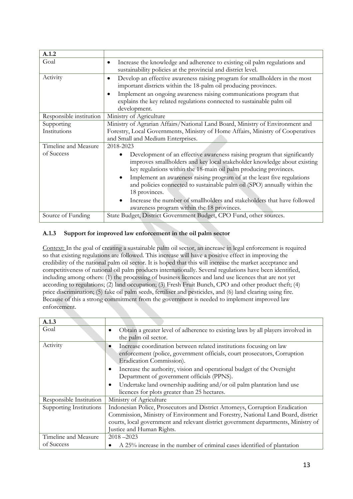| A.1.2                              |                                                                                                                                                                                                                                                                                                                                          |
|------------------------------------|------------------------------------------------------------------------------------------------------------------------------------------------------------------------------------------------------------------------------------------------------------------------------------------------------------------------------------------|
| Goal                               | Increase the knowledge and adherence to existing oil palm regulations and<br>$\bullet$<br>sustainability policies at the provincial and district level.                                                                                                                                                                                  |
| Activity                           | Develop an effective awareness raising program for smallholders in the most<br>$\bullet$<br>important districts within the 18-palm oil producing provinces.<br>Implement an ongoing awareness raising communications program that<br>$\bullet$<br>explains the key related regulations connected to sustainable palm oil<br>development. |
| Responsible institution            | Ministry of Agriculture                                                                                                                                                                                                                                                                                                                  |
| Supporting<br>Institutions         | Ministry of Agrarian Affairs/National Land Board, Ministry of Environment and<br>Forestry, Local Governments, Ministry of Home Affairs, Ministry of Cooperatives<br>and Small and Medium Enterprises.                                                                                                                                    |
| Timeline and Measure<br>of Success | 2018-2023<br>Development of an effective awareness raising program that significantly<br>$\bullet$<br>improves smallholders and key local stakeholder knowledge about existing<br>key regulations within the 18-main oil palm producing provinces.                                                                                       |
|                                    | Implement an awareness raising program of at the least five regulations<br>$\bullet$<br>and policies connected to sustainable palm oil (SPO) annually within the<br>18 provinces.<br>Increase the number of smallholders and stakeholders that have followed<br>$\bullet$<br>awareness program within the 18 provinces.                  |
| Source of Funding                  | State Budget, District Government Budget, CPO Fund, other sources.                                                                                                                                                                                                                                                                       |

#### **A.1.3 Support for improved law enforcement in the oil palm sector**

Context: In the goal of creating a sustainable palm oil sector, an increase in legal enforcement is required so that existing regulations are followed. This increase will have a positive effect in improving the credibility of the national palm oil sector. It is hoped that this will increase the market acceptance and competitiveness of national oil palm products internationally. Several regulations have been identified, including among others: (1) the processing of business licences and land use licences that are not yet according to regulations; (2) land occupation; (3) Fresh Fruit Bunch, CPO and other product theft; (4) price discrimination; (5) fake oil palm seeds, fertiliser and pesticides, and (6) land clearing using fire. Because of this a strong commitment from the government is needed to implement improved law enforcement.

| A.1.3                              |                                                                                                                                                                                                                                                                                                                                                                                                                                                       |
|------------------------------------|-------------------------------------------------------------------------------------------------------------------------------------------------------------------------------------------------------------------------------------------------------------------------------------------------------------------------------------------------------------------------------------------------------------------------------------------------------|
| Goal                               | Obtain a greater level of adherence to existing laws by all players involved in<br>$\bullet$<br>the palm oil sector.                                                                                                                                                                                                                                                                                                                                  |
| Activity                           | Increase coordination between related institutions focusing on law<br>enforcement (police, government officials, court prosecutors, Corruption<br>Eradication Commission).<br>Increase the authority, vision and operational budget of the Oversight<br>$\bullet$<br>Department of government officials (PPNS).<br>Undertake land ownership auditing and/or oil palm plantation land use<br>$\bullet$<br>licences for plots greater than 25 hectares. |
| Responsible Institution            | Ministry of Agriculture                                                                                                                                                                                                                                                                                                                                                                                                                               |
| Supporting Institutions            | Indonesian Police, Prosecutors and District Attorneys, Corruption Eradication<br>Commission, Ministry of Environment and Forestry, National Land Board, district<br>courts, local government and relevant district government departments, Ministry of<br>Justice and Human Rights.                                                                                                                                                                   |
| Timeline and Measure<br>of Success | $2018 - 2023$<br>A 25% increase in the number of criminal cases identified of plantation                                                                                                                                                                                                                                                                                                                                                              |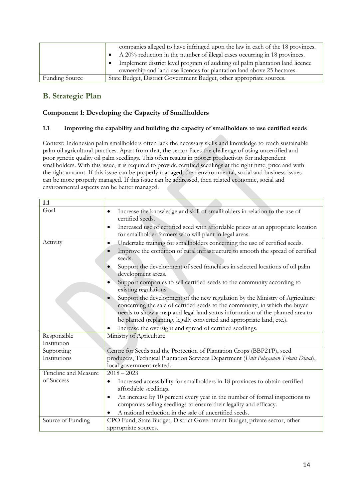|                       | companies alleged to have infringed upon the law in each of the 18 provinces. |
|-----------------------|-------------------------------------------------------------------------------|
|                       | A 20% reduction in the number of illegal cases occurring in 18 provinces.     |
|                       | Implement district level program of auditing oil palm plantation land licence |
|                       | ownership and land use licences for plantation land above 25 hectares.        |
| <b>Funding Source</b> | State Budget, District Government Budget, other appropriate sources.          |

### **B. Strategic Plan**

**1.1**

#### **Component 1: Developing the Capacity of Smallholders**

#### **1.1 Improving the capability and building the capacity of smallholders to use certified seeds**

Context: Indonesian palm smallholders often lack the necessary skills and knowledge to reach sustainable palm oil agricultural practices. Apart from that, the sector faces the challenge of using uncertified and poor genetic quality oil palm seedlings. This often results in poorer productivity for independent smallholders. With this issue, it is required to provide certified seedlings at the right time, price and with the right amount. If this issue can be properly managed, then environmental, social and business issues can be more properly managed. If this issue can be addressed, then related economic, social and environmental aspects can be better managed.

| 1.1                                |                                                                                                                                                                                                                                                                                                                                                                                                                                                                                                                                                                                                                                                                                                                                                                                           |
|------------------------------------|-------------------------------------------------------------------------------------------------------------------------------------------------------------------------------------------------------------------------------------------------------------------------------------------------------------------------------------------------------------------------------------------------------------------------------------------------------------------------------------------------------------------------------------------------------------------------------------------------------------------------------------------------------------------------------------------------------------------------------------------------------------------------------------------|
| Goal                               | Increase the knowledge and skill of smallholders in relation to the use of<br>٠<br>certified seeds.                                                                                                                                                                                                                                                                                                                                                                                                                                                                                                                                                                                                                                                                                       |
|                                    | Increased use of certified seed with affordable prices at an appropriate location<br>٠<br>for smallholder farmers who will plant in legal areas.                                                                                                                                                                                                                                                                                                                                                                                                                                                                                                                                                                                                                                          |
| Activity                           | Undertake training for smallholders concerning the use of certified seeds.<br>٠<br>Improve the condition of rural infrastructure to smooth the spread of certified<br>$\bullet$<br>seeds.<br>Support the development of seed franchises in selected locations of oil palm<br>development areas.<br>Support companies to sell certified seeds to the community according to<br>existing regulations.<br>Support the development of the new regulation by the Ministry of Agriculture<br>concerning the sale of certified seeds to the community, in which the buyer<br>needs to show a map and legal land status information of the planned area to<br>be planted (replanting, legally converted and appropriate land, etc.).<br>Increase the oversight and spread of certified seedlings. |
| Responsible<br>Institution         | Ministry of Agriculture                                                                                                                                                                                                                                                                                                                                                                                                                                                                                                                                                                                                                                                                                                                                                                   |
| Supporting<br>Institutions         | Centre for Seeds and the Protection of Plantation Crops (BBP2TP), seed<br>producers, Technical Plantation Services Department (Unit Pelayanan Teknis Dinas),<br>local government related.                                                                                                                                                                                                                                                                                                                                                                                                                                                                                                                                                                                                 |
| Timeline and Measure<br>of Success | $2018 - 2023$<br>Increased accessibility for smallholders in 18 provinces to obtain certified<br>٠<br>affordable seedlings.<br>An increase by 10 percent every year in the number of formal inspections to<br>$\bullet$<br>companies selling seedlings to ensure their legality and efficacy.<br>A national reduction in the sale of uncertified seeds.                                                                                                                                                                                                                                                                                                                                                                                                                                   |
| Source of Funding                  | CPO Fund, State Budget, District Government Budget, private sector, other<br>appropriate sources.                                                                                                                                                                                                                                                                                                                                                                                                                                                                                                                                                                                                                                                                                         |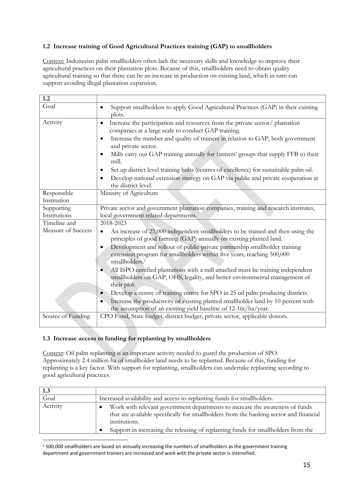#### **1.2 Increase training of Good Agricultural Practices training (GAP) to smallholders**

Context: Indonesian palm smallholders often lack the necessary skills and knowledge to improve their agricultural practices on their plantation plots. Because of this, smallholders need to obtain quality agricultural training so that there can be an increase in production on existing land, which in turn can support avoiding illegal plantation expansion.

| 1.2                |                                                                                                                                                                                                                                                                                                                                                                                                                                                                                                                                                                                                                                                                                                                                                                                                                              |
|--------------------|------------------------------------------------------------------------------------------------------------------------------------------------------------------------------------------------------------------------------------------------------------------------------------------------------------------------------------------------------------------------------------------------------------------------------------------------------------------------------------------------------------------------------------------------------------------------------------------------------------------------------------------------------------------------------------------------------------------------------------------------------------------------------------------------------------------------------|
| Goal               | Support smallholders to apply Good Agricultural Practices (GAP) in their existing<br>٠<br>plots.                                                                                                                                                                                                                                                                                                                                                                                                                                                                                                                                                                                                                                                                                                                             |
| Activity           | Increase the participation and resources from the private sector/plantation<br>$\bullet$<br>companies at a large scale to conduct GAP training.<br>Increase the number and quality of trainers in relation to GAP, both government<br>$\bullet$<br>and private sector.<br>Mills carry out GAP training annually for farmers' groups that supply FFB to their<br>$\bullet$<br>mill.<br>Set up district level training hubs (centres of excellence) for sustainable palm oil.<br>٠<br>Develop national extension strategy on GAP via public and private cooperation at<br>the district level.                                                                                                                                                                                                                                  |
| Responsible        | Ministry of Agriculture                                                                                                                                                                                                                                                                                                                                                                                                                                                                                                                                                                                                                                                                                                                                                                                                      |
| Institution        |                                                                                                                                                                                                                                                                                                                                                                                                                                                                                                                                                                                                                                                                                                                                                                                                                              |
| Supporting         | Private sector and government plantation companies, training and research institutes,                                                                                                                                                                                                                                                                                                                                                                                                                                                                                                                                                                                                                                                                                                                                        |
| Institutions       | local government related departments.                                                                                                                                                                                                                                                                                                                                                                                                                                                                                                                                                                                                                                                                                                                                                                                        |
| Timeline and       | 2018-2023                                                                                                                                                                                                                                                                                                                                                                                                                                                                                                                                                                                                                                                                                                                                                                                                                    |
| Measure of Success | An increase of 25,000 independent smallholders to be trained and then using the<br>$\bullet$<br>principles of good farming (GAP) annually on existing planted land.<br>Development and rollout of public-private partnership smallholder training<br>$\bullet$<br>extension program for smallholders within five years, reaching 500,000<br>smallholders. <sup>1</sup><br>All ISPO certified plantations with a mill attached must be training independent<br>$\bullet$<br>smallholders on GAP, OHS, legality, and better environmental management of<br>their plot.<br>Develop a centre of training centre for SPO in 25 oil palm producing districts.<br>$\bullet$<br>Increase the productivity of existing planted smallholder land by 10 percent with<br>the assumption of an existing yield baseline of 12-16t/ha/year. |
| Source of Funding  | CPO Fund, State budget, district budget, private sector, applicable donors.                                                                                                                                                                                                                                                                                                                                                                                                                                                                                                                                                                                                                                                                                                                                                  |

#### **1.3 Increase access to funding for replanting by smallholders**

Context: Oil palm replanting is an important activity needed to guard the production of SPO. Approximately 2.4 million ha of smallholder land needs to be replanted. Because of this, funding for replanting is a key factor. With support for replanting, smallholders can undertake replanting according to good agricultural practices.

| 1.3      |                                                                                                                                                                                                                                                                              |
|----------|------------------------------------------------------------------------------------------------------------------------------------------------------------------------------------------------------------------------------------------------------------------------------|
| Goal     | Increased availability and access to replanting funds for smallholders.                                                                                                                                                                                                      |
| Activity | Work with relevant government departments to increase the awareness of funds<br>that are available specifically for smallholders from the banking sector and financial<br>institutions.<br>Support in increasing the releasing of replanting funds for smallholders from the |

<sup>&</sup>lt;u>.</u> <sup>1</sup> 500,000 smallholders are based on annually increasing the numbers of smallholders as the government training department and government trainers are increased and work with the private sector is intensified.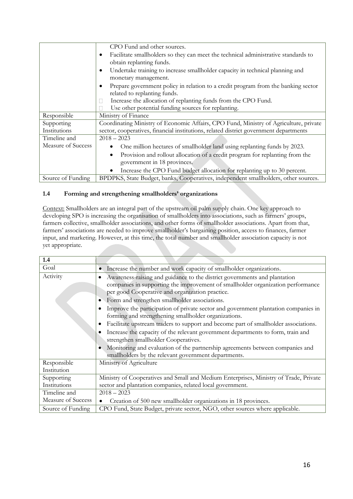|                    | CPO Fund and other sources.                                                                                                 |
|--------------------|-----------------------------------------------------------------------------------------------------------------------------|
|                    | Facilitate smallholders so they can meet the technical administrative standards to<br>$\bullet$<br>obtain replanting funds. |
|                    | Undertake training to increase smallholder capacity in technical planning and                                               |
|                    | monetary management.                                                                                                        |
|                    | Prepare government policy in relation to a credit program from the banking sector                                           |
|                    | related to replanting funds.                                                                                                |
|                    | Increase the allocation of replanting funds from the CPO Fund.                                                              |
|                    | Use other potential funding sources for replanting.                                                                         |
| Responsible        | Ministry of Finance                                                                                                         |
| Supporting         | Coordinating Ministry of Economic Affairs, CPO Fund, Ministry of Agriculture, private                                       |
| Institutions       | sector, cooperatives, financial institutions, related district government departments                                       |
| Timeline and       | $2018 - 2023$                                                                                                               |
| Measure of Success | One million hectares of smallholder land using replanting funds by 2023.                                                    |
|                    | Provision and rollout allocation of a credit program for replanting from the                                                |
|                    | government in 18 provinces.                                                                                                 |
|                    | Increase the CPO Fund budget allocation for replanting up to 30 percent.<br>$\bullet$                                       |
| Source of Funding  | BPDPKS, State Budget, banks, Cooperatives, independent smallholders, other sources.                                         |

#### **1.4 Forming and strengthening smallholders' organizations**

Context: Smallholders are an integral part of the upstream oil palm supply chain. One key approach to developing SPO is increasing the organisation of smallholders into associations, such as farmers' groups, farmers collective, smallholder associations, and other forms of smallholder associations. Apart from that, farmers' associations are needed to improve smallholder's bargaining position, access to finances, farmer input, and marketing. However, at this time, the total number and smallholder association capacity is not yet appropriate.

| 1.4                |                                                                                                                                                                                                                                                                                                                                                                                                                                                                                                                                                                                                                                                                                                                                                                           |
|--------------------|---------------------------------------------------------------------------------------------------------------------------------------------------------------------------------------------------------------------------------------------------------------------------------------------------------------------------------------------------------------------------------------------------------------------------------------------------------------------------------------------------------------------------------------------------------------------------------------------------------------------------------------------------------------------------------------------------------------------------------------------------------------------------|
| Goal               | Increase the number and work capacity of smallholder organizations.<br>$\bullet$                                                                                                                                                                                                                                                                                                                                                                                                                                                                                                                                                                                                                                                                                          |
| Activity           | Awareness-raising and guidance to the district governments and plantation<br>companies in supporting the improvement of smallholder organization performance<br>per good Cooperative and organization practice.<br>Form and strengthen smallholder associations.<br>Improve the participation of private sector and government plantation companies in<br>forming and strengthening smallholder organizations.<br>Facilitate upstream traders to support and become part of smallholder associations.<br>Increase the capacity of the relevant government departments to form, train and<br>strengthen smallholder Cooperatives.<br>Monitoring and evaluation of the partnership agreements between companies and<br>smallholders by the relevant government departments. |
| Responsible        | Ministry of Agriculture                                                                                                                                                                                                                                                                                                                                                                                                                                                                                                                                                                                                                                                                                                                                                   |
| Institution        |                                                                                                                                                                                                                                                                                                                                                                                                                                                                                                                                                                                                                                                                                                                                                                           |
| Supporting         | Ministry of Cooperatives and Small and Medium Enterprises, Ministry of Trade, Private                                                                                                                                                                                                                                                                                                                                                                                                                                                                                                                                                                                                                                                                                     |
| Institutions       | sector and plantation companies, related local government.                                                                                                                                                                                                                                                                                                                                                                                                                                                                                                                                                                                                                                                                                                                |
| Timeline and       | $2018 - 2023$                                                                                                                                                                                                                                                                                                                                                                                                                                                                                                                                                                                                                                                                                                                                                             |
| Measure of Success | Creation of 500 new smallholder organizations in 18 provinces.                                                                                                                                                                                                                                                                                                                                                                                                                                                                                                                                                                                                                                                                                                            |
| Source of Funding  | CPO Fund, State Budget, private sector, NGO, other sources where applicable.                                                                                                                                                                                                                                                                                                                                                                                                                                                                                                                                                                                                                                                                                              |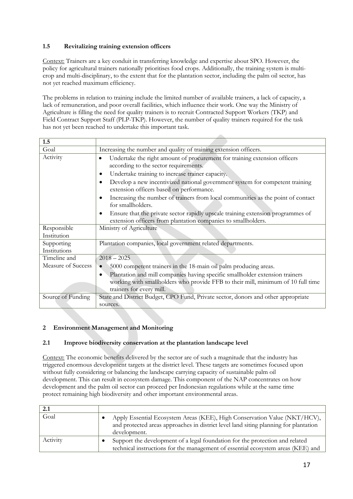#### **1.5 Revitalizing training extension officers**

Context: Trainers are a key conduit in transferring knowledge and expertise about SPO. However, the policy for agricultural trainers nationally prioritises food crops. Additionally, the training system is multicrop and multi-disciplinary, to the extent that for the plantation sector, including the palm oil sector, has not yet reached maximum efficiency.

The problems in relation to training include the limited number of available trainers, a lack of capacity, a lack of remuneration, and poor overall facilities, which influence their work. One way the Ministry of Agriculture is filling the need for quality trainers is to recruit Contracted Support Workers (TKP) and Field Contract Support Staff (PLP-TKP). However, the number of quality trainers required for the task has not yet been reached to undertake this important task.

| 1.5                |                                                                                                                                                                                                                                                                                                                                                                                                                                                                                                                                                                                             |
|--------------------|---------------------------------------------------------------------------------------------------------------------------------------------------------------------------------------------------------------------------------------------------------------------------------------------------------------------------------------------------------------------------------------------------------------------------------------------------------------------------------------------------------------------------------------------------------------------------------------------|
| Goal               | Increasing the number and quality of training extension officers.                                                                                                                                                                                                                                                                                                                                                                                                                                                                                                                           |
| Activity           | Undertake the right amount of procurement for training extension officers<br>$\bullet$<br>according to the sector requirements.<br>Undertake training to increase trainer capacity.<br>٠<br>Develop a new incentivized national government system for competent training<br>٠<br>extension officers based on performance.<br>Increasing the number of trainers from local communities as the point of contact<br>for smallholders.<br>Ensure that the private sector rapidly upscale training extension programmes of<br>٠<br>extension officers from plantation companies to smallholders. |
| Responsible        | Ministry of Agriculture                                                                                                                                                                                                                                                                                                                                                                                                                                                                                                                                                                     |
| Institution        |                                                                                                                                                                                                                                                                                                                                                                                                                                                                                                                                                                                             |
| Supporting         | Plantation companies, local government related departments.                                                                                                                                                                                                                                                                                                                                                                                                                                                                                                                                 |
| Institutions       |                                                                                                                                                                                                                                                                                                                                                                                                                                                                                                                                                                                             |
| Timeline and       | $2018 - 2025$                                                                                                                                                                                                                                                                                                                                                                                                                                                                                                                                                                               |
| Measure of Success | 5000 competent trainers in the 18-main oil palm producing areas.                                                                                                                                                                                                                                                                                                                                                                                                                                                                                                                            |
|                    | Plantation and mill companies having specific smallholder extension trainers<br>$\bullet$<br>working with smallholders who provide FFB to their mill, minimum of 10 full time<br>trainers for every mill.                                                                                                                                                                                                                                                                                                                                                                                   |
| Source of Funding  | State and District Budget, CPO Fund, Private sector, donors and other appropriate<br>sources.                                                                                                                                                                                                                                                                                                                                                                                                                                                                                               |

#### **2 Environment Management and Monitoring**

#### **2.1 Improve biodiversity conservation at the plantation landscape level**

Context: The economic benefits delivered by the sector are of such a magnitude that the industry has triggered enormous development targets at the district level. These targets are sometimes focused upon without fully considering or balancing the landscape carrying capacity of sustainable palm oil development. This can result in ecosystem damage. This component of the NAP concentrates on how development and the palm oil sector can proceed per Indonesian regulations while at the same time protect remaining high biodiversity and other important environmental areas.

| 2.1      |                                                                                                                                                                                   |
|----------|-----------------------------------------------------------------------------------------------------------------------------------------------------------------------------------|
| Goal     | Apply Essential Ecosystem Areas (KEE), High Conservation Value (NKT/HCV),<br>and protected areas approaches in district level land siting planning for plantation<br>development. |
| Activity | Support the development of a legal foundation for the protection and related<br>technical instructions for the management of essential ecosystem areas (KEE) and                  |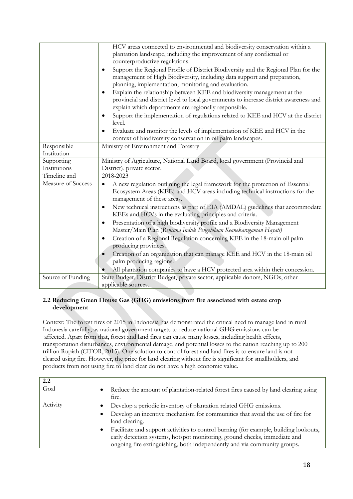|                            | HCV areas connected to environmental and biodiversity conservation within a<br>plantation landscape, including the improvement of any conflictual or<br>counterproductive regulations.                                       |
|----------------------------|------------------------------------------------------------------------------------------------------------------------------------------------------------------------------------------------------------------------------|
|                            | Support the Regional Profile of District Biodiversity and the Regional Plan for the<br>٠<br>management of High Biodiversity, including data support and preparation,<br>planning, implementation, monitoring and evaluation. |
|                            | Explain the relationship between KEE and biodiversity management at the<br>provincial and district level to local governments to increase district awareness and<br>explain which departments are regionally responsible.    |
|                            | Support the implementation of regulations related to KEE and HCV at the district<br>level.                                                                                                                                   |
|                            | Evaluate and monitor the levels of implementation of KEE and HCV in the<br>context of biodiversity conservation in oil palm landscapes.                                                                                      |
| Responsible<br>Institution | Ministry of Environment and Forestry                                                                                                                                                                                         |
| Supporting<br>Institutions | Ministry of Agriculture, National Land Board, local government (Provincial and<br>District), private sector.                                                                                                                 |
| Timeline and               | 2018-2023                                                                                                                                                                                                                    |
| Measure of Success         | A new regulation outlining the legal framework for the protection of Essential<br>Ecosystem Areas (KEE) and HCV areas including technical instructions for the<br>management of these areas.                                 |
|                            | New technical instructions as part of EIA (AMDAL) guidelines that accommodate<br>KEEs and HCVs in the evaluating principles and criteria.                                                                                    |
|                            | Presentation of a high biodiversity profile and a Biodiversity Management<br>٠<br>Master/Main Plan (Rencana Induk Pengelolaan Keanekaragaman Hayati)                                                                         |
|                            | Creation of a Regional Regulation concerning KEE in the 18-main oil palm<br>٠<br>producing provinces.                                                                                                                        |
|                            | Creation of an organization that can manage KEE and HCV in the 18-main oil<br>palm producing regions.                                                                                                                        |
|                            | All plantation companies to have a HCV protected area within their concession.                                                                                                                                               |
| Source of Funding          | State Budget, District Budget, private sector, applicable donors, NGOs, other<br>applicable sources.                                                                                                                         |

#### **2.2 Reducing Green House Gas (GHG) emissions from fire associated with estate crop development**

Context: The forest fires of 2015 in Indonesia has demonstrated the critical need to manage land in rural Indonesia carefully, as national government targets to reduce national GHG emissions can be affected. Apart from that, forest and land fires can cause many losses, including health effects, transportation disturbances, environmental damage, and potential losses to the nation reaching up to 200 trillion Rupiah (CIFOR, 2015). One solution to control forest and land fires is to ensure land is not cleared using fire. However, the price for land clearing without fire is significant for smallholders, and products from not using fire to land clear do not have a high economic value.

| 2.2      |                                                                                                                                                                                                                                                                                                                                                                                                                        |
|----------|------------------------------------------------------------------------------------------------------------------------------------------------------------------------------------------------------------------------------------------------------------------------------------------------------------------------------------------------------------------------------------------------------------------------|
| Goal     | Reduce the amount of plantation-related forest fires caused by land clearing using<br>fire.                                                                                                                                                                                                                                                                                                                            |
| Activity | Develop a periodic inventory of plantation related GHG emissions.<br>Develop an incentive mechanism for communities that avoid the use of fire for<br>land clearing.<br>Facilitate and support activities to control burning (for example, building lookouts,<br>early detection systems, hotspot monitoring, ground checks, immediate and<br>ongoing fire extinguishing, both independently and via community groups. |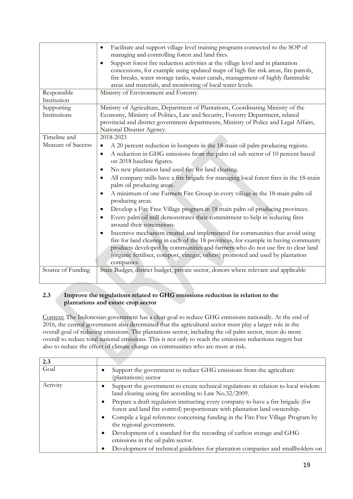|                            | Facilitate and support village level training programs connected to the SOP of<br>$\bullet$<br>managing and controlling forest and land fires.                                                                                                                                                                                                                                                                                                                                                                                                                                                                                                                                                                                                                                                                                                                                                                                                                                                                                                                                                              |
|----------------------------|-------------------------------------------------------------------------------------------------------------------------------------------------------------------------------------------------------------------------------------------------------------------------------------------------------------------------------------------------------------------------------------------------------------------------------------------------------------------------------------------------------------------------------------------------------------------------------------------------------------------------------------------------------------------------------------------------------------------------------------------------------------------------------------------------------------------------------------------------------------------------------------------------------------------------------------------------------------------------------------------------------------------------------------------------------------------------------------------------------------|
|                            | Support forest fire reduction activities at the village level and in plantation<br>$\bullet$<br>concessions, for example using updated maps of high fire risk areas, fire patrols,<br>fire breaks, water storage tanks, water canals, management of highly flammable<br>areas and materials, and monitoring of local water levels.                                                                                                                                                                                                                                                                                                                                                                                                                                                                                                                                                                                                                                                                                                                                                                          |
| Responsible                | Ministry of Environment and Forestry                                                                                                                                                                                                                                                                                                                                                                                                                                                                                                                                                                                                                                                                                                                                                                                                                                                                                                                                                                                                                                                                        |
| Institution                |                                                                                                                                                                                                                                                                                                                                                                                                                                                                                                                                                                                                                                                                                                                                                                                                                                                                                                                                                                                                                                                                                                             |
| Supporting<br>Institutions | Ministry of Agriculture, Department of Plantations, Coordinating Ministry of the<br>Economy, Ministry of Politics, Law and Security, Forestry Department, related<br>provincial and district government departments, Ministry of Police and Legal Affairs,<br>National Disaster Agency.                                                                                                                                                                                                                                                                                                                                                                                                                                                                                                                                                                                                                                                                                                                                                                                                                     |
| Timeline and               | 2018-2023                                                                                                                                                                                                                                                                                                                                                                                                                                                                                                                                                                                                                                                                                                                                                                                                                                                                                                                                                                                                                                                                                                   |
| Measure of Success         | A 20 percent reduction in hotspots in the 18-main oil palm producing regions.<br>$\bullet$<br>A reduction in GHG emissions from the palm oil sub sector of 10 percent based<br>٠<br>on 2018 baseline figures.<br>No new plantation land used fire for land clearing.<br>$\bullet$<br>All company mills have a fire brigade for managing local forest fires in the 18-main<br>$\bullet$<br>palm oil producing areas.<br>A minimum of one Farmers Fire Group in every village in the 18-main palm oil<br>$\bullet$<br>producing areas.<br>Develop a Fire Free Village program in 18 main palm oil producing provinces.<br>$\bullet$<br>Every palm oil mill demonstrates their commitment to help in reducing fires<br>٠<br>around their concessions.<br>Incentive mechanism created and implemented for communities that avoid using<br>$\bullet$<br>fire for land clearing in each of the 18 provinces, for example in having community<br>products developed by communities and farmers who do not use fire to clear land<br>(organic fertiliser, compost, vinegar, others) promoted and used by plantation |
| Source of Funding          | companies.<br>State Budget, district budget, private sector, donors where relevant and applicable                                                                                                                                                                                                                                                                                                                                                                                                                                                                                                                                                                                                                                                                                                                                                                                                                                                                                                                                                                                                           |
|                            |                                                                                                                                                                                                                                                                                                                                                                                                                                                                                                                                                                                                                                                                                                                                                                                                                                                                                                                                                                                                                                                                                                             |

#### **2.3 Improve the regulations related to GHG emissions reduction in relation to the plantations and estate crop sector**

Context: The Indonesian government has a clear goal to reduce GHG emissions nationally. At the end of 2016, the central government also determined that the agricultural sector must play a larger role in the overall goal of reducing emissions. The plantations sector, including the oil palm sector, must do more overall to reduce total national emissions. This is not only to reach the emissions reductions targets but also to reduce the effect of climate change on communities who are most at risk.

| 2.3      |                                                                                                                                                                                                                                                                                                                                                                                                    |
|----------|----------------------------------------------------------------------------------------------------------------------------------------------------------------------------------------------------------------------------------------------------------------------------------------------------------------------------------------------------------------------------------------------------|
| Goal     | Support the government to reduce GHG emissions from the agriculture<br>٠<br>(plantations) sector                                                                                                                                                                                                                                                                                                   |
| Activity | Support the government to create technical regulations in relation to local wisdom<br>land clearing using fire according to Law No.32/2009.<br>Prepare a draft regulation instructing every company to have a fire brigade (for<br>forest and land fire control) proportionate with plantation land ownership.<br>Compile a legal reference concerning funding in the Fire Free Village Program by |
|          | the regional government.<br>Development of a standard for the recording of carbon storage and GHG<br>emissions in the oil palm sector.<br>Development of technical guidelines for plantation companies and smallholders on                                                                                                                                                                         |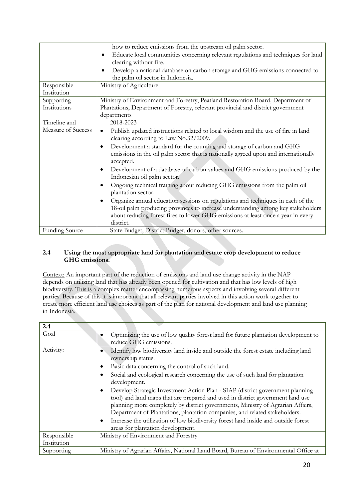|                       | how to reduce emissions from the upstream oil palm sector.                                     |
|-----------------------|------------------------------------------------------------------------------------------------|
|                       | Educate local communities concerning relevant regulations and techniques for land<br>$\bullet$ |
|                       | clearing without fire.                                                                         |
|                       | Develop a national database on carbon storage and GHG emissions connected to<br>٠              |
|                       | the palm oil sector in Indonesia.                                                              |
| Responsible           | Ministry of Agriculture                                                                        |
| Institution           |                                                                                                |
| Supporting            | Ministry of Environment and Forestry, Peatland Restoration Board, Department of                |
| Institutions          | Plantations, Department of Forestry, relevant provincial and district government               |
|                       | departments                                                                                    |
| Timeline and          | 2018-2023                                                                                      |
| Measure of Success    | Publish updated instructions related to local wisdom and the use of fire in land<br>$\bullet$  |
|                       | clearing according to Law No.32/2009.                                                          |
|                       | Development a standard for the counting and storage of carbon and GHG<br>$\bullet$             |
|                       | emissions in the oil palm sector that is nationally agreed upon and internationally            |
|                       | accepted.                                                                                      |
|                       | Development of a database of carbon values and GHG emissions produced by the<br>٠              |
|                       | Indonesian oil palm sector.                                                                    |
|                       | Ongoing technical training about reducing GHG emissions from the palm oil<br>٠                 |
|                       | plantation sector.                                                                             |
|                       | Organize annual education sessions on regulations and techniques in each of the<br>٠           |
|                       | 18-oil palm producing provinces to increase understanding among key stakeholders               |
|                       | about reducing forest fires to lower GHG emissions at least once a year in every               |
|                       | district.                                                                                      |
| <b>Funding Source</b> | State Budget, District Budget, donors, other sources.                                          |

#### **2.4 Using the most appropriate land for plantation and estate crop development to reduce GHG emissions.**

Context: An important part of the reduction of emissions and land use change activity in the NAP depends on utilizing land that has already been opened for cultivation and that has low levels of high biodiversity. This is a complex matter encompassing numerous aspects and involving several different parties. Because of this it is important that all relevant parties involved in this action work together to create more efficient land use choices as part of the plan for national development and land use planning in Indonesia.

| 2.4         |                                                                                                                                                                                                                                                                                                                                                                                                                                                                                                                                                                                                                                                                                                                                      |
|-------------|--------------------------------------------------------------------------------------------------------------------------------------------------------------------------------------------------------------------------------------------------------------------------------------------------------------------------------------------------------------------------------------------------------------------------------------------------------------------------------------------------------------------------------------------------------------------------------------------------------------------------------------------------------------------------------------------------------------------------------------|
| Goal        | Optimizing the use of low quality forest land for future plantation development to<br>reduce GHG emissions.                                                                                                                                                                                                                                                                                                                                                                                                                                                                                                                                                                                                                          |
| Activity:   | Identify low biodiversity land inside and outside the forest estate including land<br>ownership status.<br>Basic data concerning the control of such land.<br>Social and ecological research concerning the use of such land for plantation<br>development.<br>Develop Strategic Investment Action Plan - SIAP (district government planning<br>٠<br>tool) and land maps that are prepared and used in district government land use<br>planning more completely by district governments, Ministry of Agrarian Affairs,<br>Department of Plantations, plantation companies, and related stakeholders.<br>Increase the utilization of low biodiversity forest land inside and outside forest<br>٠<br>areas for plantation development. |
| Responsible | Ministry of Environment and Forestry                                                                                                                                                                                                                                                                                                                                                                                                                                                                                                                                                                                                                                                                                                 |
| Institution |                                                                                                                                                                                                                                                                                                                                                                                                                                                                                                                                                                                                                                                                                                                                      |
| Supporting  | Ministry of Agrarian Affairs, National Land Board, Bureau of Environmental Office at                                                                                                                                                                                                                                                                                                                                                                                                                                                                                                                                                                                                                                                 |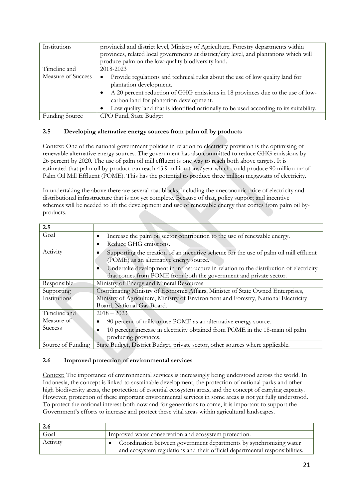| Institutions          | provincial and district level, Ministry of Agriculture, Forestry departments within<br>provinces, related local governments at district/city level, and plantations which will<br>produce palm on the low-quality biodiversity land. |
|-----------------------|--------------------------------------------------------------------------------------------------------------------------------------------------------------------------------------------------------------------------------------|
| Timeline and          | 2018-2023                                                                                                                                                                                                                            |
| Measure of Success    | Provide regulations and technical rules about the use of low quality land for<br>٠<br>plantation development.                                                                                                                        |
|                       | A 20 percent reduction of GHG emissions in 18 provinces due to the use of low-<br>٠<br>carbon land for plantation development.<br>Low quality land that is identified nationally to be used according to its suitability.            |
| <b>Funding Source</b> | CPO Fund, State Budget                                                                                                                                                                                                               |

#### **2.5 Developing alternative energy sources from palm oil by products**

Context: One of the national government policies in relation to electricity provision is the optimising of renewable alternative energy sources. The government has also committed to reduce GHG emissions by 26 percent by 2020. The use of palm oil mill effluent is one way to reach both above targets. It is estimated that palm oil by-product can reach 43.9 million tons/year which could produce 90 million m<sup>3</sup> of Palm Oil Mill Effluent (POME). This has the potential to produce three million megawatts of electricity.

In undertaking the above there are several roadblocks, including the uneconomic price of electricity and distributional infrastructure that is not yet complete. Because of that, policy support and incentive schemes will be needed to lift the development and use of renewable energy that comes from palm oil byproducts.

| 2.5               |                                                                                                     |
|-------------------|-----------------------------------------------------------------------------------------------------|
| Goal              | Increase the palm oil sector contribution to the use of renewable energy.<br>٠                      |
|                   | Reduce GHG emissions.<br>$\bullet$                                                                  |
| Activity          | Supporting the creation of an incentive scheme for the use of palm oil mill effluent                |
|                   | (POME) as an alternative energy source.                                                             |
|                   | Undertake development in infrastructure in relation to the distribution of electricity<br>$\bullet$ |
|                   | that comes from POME from both the government and private sector.                                   |
| Responsible       | Ministry of Energy and Mineral Resources                                                            |
| Supporting        | Coordinating Ministry of Economic Affairs, Minister of State Owned Enterprises,                     |
| Institutions      | Ministry of Agriculture, Ministry of Environment and Forestry, National Electricity                 |
|                   | Board, National Gas Board.                                                                          |
| Timeline and      | $2018 - 2023$                                                                                       |
| Measure of        | 90 percent of mills to use POME as an alternative energy source.<br>٠                               |
| <b>Success</b>    | 10 percent increase in electricity obtained from POME in the 18-main oil palm                       |
|                   | producing provinces.                                                                                |
| Source of Funding | State Budget, District Budget, private sector, other sources where applicable.                      |

#### **2.6 Improved protection of environmental services**

Context: The importance of environmental services is increasingly being understood across the world. In Indonesia, the concept is linked to sustainable development, the protection of national parks and other high biodiversity areas, the protection of essential ecosystem areas, and the concept of carrying capacity. However, protection of these important environmental services in some areas is not yet fully understood. To protect the national interest both now and for generations to come, it is important to support the Government's efforts to increase and protect these vital areas within agricultural landscapes.

| 2.6      |                                                                                                                                                   |
|----------|---------------------------------------------------------------------------------------------------------------------------------------------------|
| Goal     | Improved water conservation and ecosystem protection.                                                                                             |
| Activity | Coordination between government departments by synchronizing water<br>and ecosystem regulations and their official departmental responsibilities. |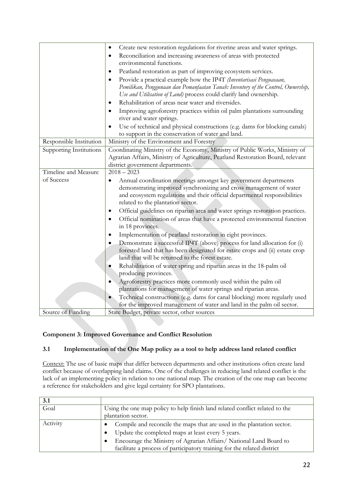|                         | Create new restoration regulations for riverine areas and water springs.<br>$\bullet$ |
|-------------------------|---------------------------------------------------------------------------------------|
|                         | Reconciliation and increasing awareness of areas with protected<br>٠                  |
|                         | environmental functions.                                                              |
|                         | Peatland restoration as part of improving ecosystem services.                         |
|                         | Provide a practical example how the IP4T (Inventarisasi Penguasaan,<br>$\bullet$      |
|                         | Pemilikan, Penggunaan dan Pemanfaatan Tanah: Inventory of the Control, Ownership,     |
|                         | Use and Utilisation of Land) process could clarify land ownership.                    |
|                         | Rehabilitation of areas near water and riversides.<br>٠                               |
|                         | Improving agroforestry practices within oil palm plantations surrounding<br>٠         |
|                         | river and water springs.                                                              |
|                         | Use of technical and physical constructions (e.g. dams for blocking canals)           |
|                         | to support in the conservation of water and land.                                     |
| Responsible Institution | Ministry of the Environment and Forestry                                              |
| Supporting Institutions | Coordinating Ministry of the Economy, Ministry of Public Works, Ministry of           |
|                         | Agrarian Affairs, Ministry of Agriculture, Peatland Restoration Board, relevant       |
|                         | district government departments.                                                      |
| Timeline and Measure    | $2018 - 2023$                                                                         |
| of Success              | Annual coordination meetings amongst key government departments<br>٠                  |
|                         | demonstrating improved synchronizing and cross management of water                    |
|                         | and ecosystem regulations and their official departmental responsibilities            |
|                         | related to the plantation sector.                                                     |
|                         | Official guidelines on riparian area and water springs restoration practices.         |
|                         | Official nomination of areas that have a protected environmental function<br>٠        |
|                         | in 18 provinces.                                                                      |
|                         | Implementation of peatland restoration in eight provinces.                            |
|                         | Demonstrate a successful IP4T (above) process for land allocation for (i)             |
|                         | forested land that has been designated for estate crops and (ii) estate crop          |
|                         | land that will be returned to the forest estate.                                      |
|                         | Rehabilitation of water spring and riparian areas in the 18-palm oil                  |
|                         | producing provinces.                                                                  |
|                         | Agroforestry practices more commonly used within the palm oil                         |
|                         | plantations for management of water springs and riparian areas.                       |
|                         | Technical constructions (e.g. dams for canal blocking) more regularly used            |
|                         | for the improved management of water and land in the palm oil sector.                 |
| Source of Funding       | State Budget, private sector, other sources                                           |

#### **Component 3: Improved Governance and Conflict Resolution**

#### **3.1 Implementation of the One Map policy as a tool to help address land related conflict**

Context: The use of basic maps that differ between departments and other institutions often create land conflict because of overlapping land claims. One of the challenges in reducing land related conflict is the lack of an implementing policy in relation to one national map. The creation of the one map can become a reference for stakeholders and give legal certainty for SPO plantations.

| 3.1                                                                                |                                                                              |  |
|------------------------------------------------------------------------------------|------------------------------------------------------------------------------|--|
| Goal                                                                               | Using the one map policy to help finish land related conflict related to the |  |
|                                                                                    | plantation sector.                                                           |  |
| Activity<br>Compile and reconcile the maps that are used in the plantation sector. |                                                                              |  |
|                                                                                    | Update the completed maps at least every 5 years.                            |  |
|                                                                                    | Encourage the Ministry of Agrarian Affairs/ National Land Board to           |  |
|                                                                                    | facilitate a process of participatory training for the related district      |  |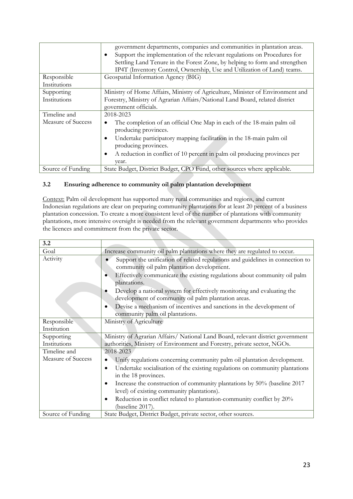|                    | government departments, companies and communities in plantation areas.         |  |
|--------------------|--------------------------------------------------------------------------------|--|
|                    | Support the implementation of the relevant regulations on Procedures for<br>٠  |  |
|                    | Settling Land Tenure in the Forest Zone, by helping to form and strengthen     |  |
|                    | IP4T (Inventory Control, Ownership, Use and Utilization of Land) teams.        |  |
| Responsible        | Geospatial Information Agency (BIG)                                            |  |
| Institutions       |                                                                                |  |
| Supporting         | Ministry of Home Affairs, Ministry of Agriculture, Minister of Environment and |  |
| Institutions       | Forestry, Ministry of Agrarian Affairs/National Land Board, related district   |  |
|                    | government officials.                                                          |  |
| Timeline and       | 2018-2023                                                                      |  |
| Measure of Success | The completion of an official One Map in each of the 18-main palm oil<br>٠     |  |
|                    | producing provinces.                                                           |  |
|                    | Undertake participatory mapping facilitation in the 18-main palm oil<br>٠      |  |
|                    | producing provinces.                                                           |  |
|                    | A reduction in conflict of 10 percent in palm oil producing provinces per<br>٠ |  |
|                    | vear.                                                                          |  |
| Source of Funding  | State Budget, District Budget, CPO Fund, other sources where applicable.       |  |

#### **3.2 Ensuring adherence to community oil palm plantation development**

Context: Palm oil development has supported many rural communities and regions, and current Indonesian regulations are clear on preparing community plantations for at least 20 percent of a business plantation concession. To create a more consistent level of the number of plantations with community plantations, more intensive oversight is needed from the relevant government departments who provides the licences and commitment from the private sector.

| 3.2                                |                                                                                                                                                                                                                                                                                                                                                                                                                                                                                          |  |
|------------------------------------|------------------------------------------------------------------------------------------------------------------------------------------------------------------------------------------------------------------------------------------------------------------------------------------------------------------------------------------------------------------------------------------------------------------------------------------------------------------------------------------|--|
| Goal                               | Increase community oil palm plantations where they are regulated to occur.                                                                                                                                                                                                                                                                                                                                                                                                               |  |
| Activity                           | Support the unification of related regulations and guidelines in connection to<br>community oil palm plantation development.<br>Effectively communicate the existing regulations about community oil palm<br>$\bullet$<br>plantations.<br>Develop a national system for effectively monitoring and evaluating the<br>development of community oil palm plantation areas.<br>Devise a mechanism of incentives and sanctions in the development of<br>٠<br>community palm oil plantations. |  |
| Responsible<br>Institution         | Ministry of Agriculture                                                                                                                                                                                                                                                                                                                                                                                                                                                                  |  |
| Supporting<br>Institutions         | Ministry of Agrarian Affairs/ National Land Board, relevant district government<br>authorities, Ministry of Environment and Forestry, private sector, NGOs.                                                                                                                                                                                                                                                                                                                              |  |
| Timeline and<br>Measure of Success | 2018-2023<br>Unify regulations concerning community palm oil plantation development.<br>Undertake socialisation of the existing regulations on community plantations<br>$\bullet$<br>in the 18 provinces.<br>Increase the construction of community plantations by 50% (baseline 2017<br>٠<br>level) of existing community plantations).<br>Reduction in conflict related to plantation-community conflict by 20%<br>٠<br>(baseline 2017).                                               |  |
| Source of Funding                  | State Budget, District Budget, private sector, other sources.                                                                                                                                                                                                                                                                                                                                                                                                                            |  |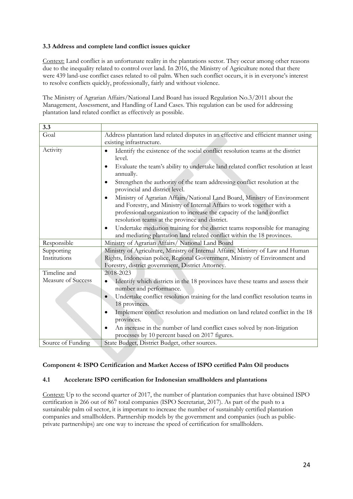#### **3.3 Address and complete land conflict issues quicker**

Context: Land conflict is an unfortunate reality in the plantations sector. They occur among other reasons due to the inequality related to control over land. In 2016, the Ministry of Agriculture noted that there were 439 land-use conflict cases related to oil palm. When such conflict occurs, it is in everyone's interest to resolve conflicts quickly, professionally, fairly and without violence.

The Ministry of Agrarian Affairs/National Land Board has issued Regulation No.3/2011 about the Management, Assessment, and Handling of Land Cases. This regulation can be used for addressing plantation land related conflict as effectively as possible.

| 3.3                |                                                                                                                                                                                                                                                                                       |  |
|--------------------|---------------------------------------------------------------------------------------------------------------------------------------------------------------------------------------------------------------------------------------------------------------------------------------|--|
| Goal               | Address plantation land related disputes in an effective and efficient manner using                                                                                                                                                                                                   |  |
|                    | existing infrastructure.                                                                                                                                                                                                                                                              |  |
| Activity           | Identify the existence of the social conflict resolution teams at the district<br>$\bullet$<br>level.                                                                                                                                                                                 |  |
|                    | Evaluate the team's ability to undertake land related conflict resolution at least<br>$\bullet$<br>annually.                                                                                                                                                                          |  |
|                    | Strengthen the authority of the team addressing conflict resolution at the<br>$\bullet$<br>provincial and district level.                                                                                                                                                             |  |
|                    | Ministry of Agrarian Affairs/National Land Board, Ministry of Environment<br>٠<br>and Forestry, and Ministry of Internal Affairs to work together with a<br>professional organization to increase the capacity of the land conflict<br>resolution teams at the province and district. |  |
|                    | Undertake mediation training for the district teams responsible for managing<br>$\bullet$<br>and mediating plantation land related conflict within the 18 provinces.                                                                                                                  |  |
| Responsible        | Ministry of Agrarian Affairs/ National Land Board                                                                                                                                                                                                                                     |  |
| Supporting         | Ministry of Agriculture, Ministry of Internal Affairs, Ministry of Law and Human                                                                                                                                                                                                      |  |
| Institutions       | Rights, Indonesian police, Regional Government, Ministry of Environment and                                                                                                                                                                                                           |  |
|                    | Forestry, district government, District Attorney.                                                                                                                                                                                                                                     |  |
| Timeline and       | 2018-2023                                                                                                                                                                                                                                                                             |  |
| Measure of Success | Identify which districts in the 18 provinces have these teams and assess their<br>number and performance.                                                                                                                                                                             |  |
|                    | Undertake conflict resolution training for the land conflict resolution teams in<br>$\bullet$<br>18 provinces.                                                                                                                                                                        |  |
|                    | Implement conflict resolution and mediation on land related conflict in the 18<br>provinces.                                                                                                                                                                                          |  |
|                    | An increase in the number of land conflict cases solved by non-litigation                                                                                                                                                                                                             |  |
|                    | processes by 10 percent based on 2017 figures.                                                                                                                                                                                                                                        |  |
| Source of Funding  | State Budget, District Budget, other sources.                                                                                                                                                                                                                                         |  |

#### **Component 4: ISPO Certification and Market Access of ISPO certified Palm Oil products**

#### **4.1 Accelerate ISPO certification for Indonesian smallholders and plantations**

Context: Up to the second quarter of 2017, the number of plantation companies that have obtained ISPO certification is 266 out of 867 total companies (ISPO Secretariat, 2017). As part of the push to a sustainable palm oil sector, it is important to increase the number of sustainably certified plantation companies and smallholders. Partnership models by the government and companies (such as publicprivate partnerships) are one way to increase the speed of certification for smallholders.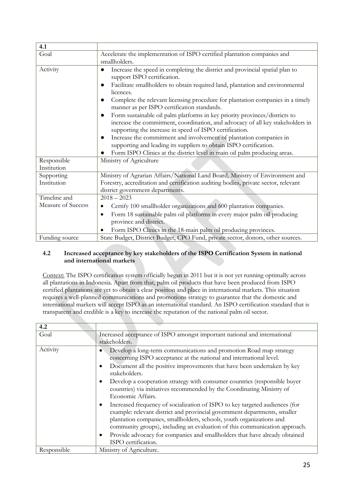| 4.1                        |                                                                                                                                                                                                                                                                                                                                                                                                                                                                                                                                                                                                                                                                                                                                                                                                                          |  |
|----------------------------|--------------------------------------------------------------------------------------------------------------------------------------------------------------------------------------------------------------------------------------------------------------------------------------------------------------------------------------------------------------------------------------------------------------------------------------------------------------------------------------------------------------------------------------------------------------------------------------------------------------------------------------------------------------------------------------------------------------------------------------------------------------------------------------------------------------------------|--|
| Goal                       | Accelerate the implementation of ISPO certified plantation companies and<br>smallholders.                                                                                                                                                                                                                                                                                                                                                                                                                                                                                                                                                                                                                                                                                                                                |  |
| Activity                   | Increase the speed in completing the district and provincial spatial plan to<br>support ISPO certification.<br>Facilitate smallholders to obtain required land, plantation and environmental<br>licences.<br>Complete the relevant licensing procedure for plantation companies in a timely<br>manner as per ISPO certification standards.<br>Form sustainable oil palm platforms in key priority provinces/districts to<br>$\bullet$<br>increase the commitment, coordination, and advocacy of all key stakeholders in<br>supporting the increase in speed of ISPO certification.<br>Increase the commitment and involvement of plantation companies in<br>$\bullet$<br>supporting and leading its suppliers to obtain ISPO certification.<br>Form ISPO Clinics at the district level in main oil palm producing areas. |  |
| Responsible<br>Institution | Ministry of Agriculture                                                                                                                                                                                                                                                                                                                                                                                                                                                                                                                                                                                                                                                                                                                                                                                                  |  |
| Supporting<br>Institution  | Ministry of Agrarian Affairs/National Land Board, Ministry of Environment and<br>Forestry, accreditation and certification auditing bodies, private sector, relevant<br>district government departments.                                                                                                                                                                                                                                                                                                                                                                                                                                                                                                                                                                                                                 |  |
| Timeline and               | $2018 - 2023$                                                                                                                                                                                                                                                                                                                                                                                                                                                                                                                                                                                                                                                                                                                                                                                                            |  |
| Measure of Success         | Certify 100 smallholder organizations and 600 plantation companies.<br>$\bullet$<br>Form 18 sustainable palm oil platforms in every major palm oil producing<br>$\bullet$<br>province and district.<br>Form ISPO Clinics in the 18-main palm oil producing provinces.                                                                                                                                                                                                                                                                                                                                                                                                                                                                                                                                                    |  |
| Funding source             | State Budget, District Budget, CPO Fund, private sector, donors, other sources.                                                                                                                                                                                                                                                                                                                                                                                                                                                                                                                                                                                                                                                                                                                                          |  |

#### **4.2 Increased acceptance by key stakeholders of the ISPO Certification System in national and international markets**

Context: The ISPO certification system officially began in 2011 but it is not yet running optimally across all plantations in Indonesia. Apart from that, palm oil products that have been produced from ISPO certified plantations are yet to obtain a clear position and place in international markets. This situation requires a well-planned communications and promotions strategy to guarantee that the domestic and international markets will accept ISPO as an international standard. An ISPO certification standard that is transparent and credible is a key to increase the reputation of the national palm oil sector.

| 4.2         |                                                                                                                                                                                                                                                                                                                                                                                                                                                                                                                                                                                                                                                                                                                                                                                                                                                                 |
|-------------|-----------------------------------------------------------------------------------------------------------------------------------------------------------------------------------------------------------------------------------------------------------------------------------------------------------------------------------------------------------------------------------------------------------------------------------------------------------------------------------------------------------------------------------------------------------------------------------------------------------------------------------------------------------------------------------------------------------------------------------------------------------------------------------------------------------------------------------------------------------------|
| Goal        | Increased acceptance of ISPO amongst important national and international<br>stakeholders.                                                                                                                                                                                                                                                                                                                                                                                                                                                                                                                                                                                                                                                                                                                                                                      |
| Activity    | Develop a long-term communications and promotion Road map strategy<br>concerning ISPO acceptance at the national and international level.<br>Document all the positive improvements that have been undertaken by key<br>stakeholders.<br>Develop a cooperation strategy with consumer countries (responsible buyer<br>٠<br>countries) via initiatives recommended by the Coordinating Ministry of<br>Economic Affairs.<br>Increased frequency of socialization of ISPO to key targeted audiences (for<br>$\bullet$<br>example: relevant district and provincial government departments, smaller<br>plantation companies, smallholders, schools, youth organizations and<br>community groups), including an evaluation of this communication approach.<br>Provide advocacy for companies and smallholders that have already obtained<br>٠<br>ISPO certification. |
| Responsible | Ministry of Agriculture.                                                                                                                                                                                                                                                                                                                                                                                                                                                                                                                                                                                                                                                                                                                                                                                                                                        |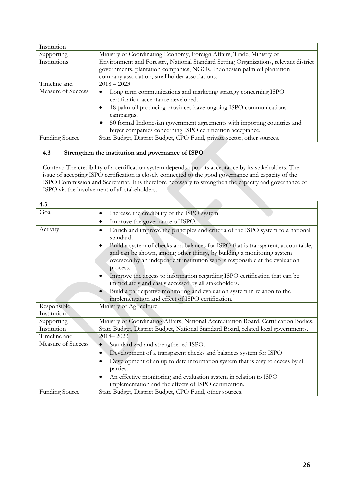| Institution           |                                                                                      |  |
|-----------------------|--------------------------------------------------------------------------------------|--|
| Supporting            | Ministry of Coordinating Economy, Foreign Affairs, Trade, Ministry of                |  |
| Institutions          | Environment and Forestry, National Standard Setting Organizations, relevant district |  |
|                       | governments, plantation companies, NGOs, Indonesian palm oil plantation              |  |
|                       | company association, smallholder associations.                                       |  |
| Timeline and          | $2018 - 2023$                                                                        |  |
| Measure of Success    | Long term communications and marketing strategy concerning ISPO                      |  |
|                       | certification acceptance developed.                                                  |  |
|                       | 18 palm oil producing provinces have ongoing ISPO communications                     |  |
| campaigns.            |                                                                                      |  |
|                       | 50 formal Indonesian government agreements with importing countries and<br>$\bullet$ |  |
|                       | buyer companies concerning ISPO certification acceptance.                            |  |
| <b>Funding Source</b> | State Budget, District Budget, CPO Fund, private sector, other sources.              |  |

#### **4.3 Strengthen the institution and governance of ISPO**

Context: The credibility of a certification system depends upon its acceptance by its stakeholders. The issue of accepting ISPO certification is closely connected to the good governance and capacity of the ISPO Commission and Secretariat. It is therefore necessary to strengthen the capacity and governance of ISPO via the involvement of all stakeholders.

| 4.3                   |                                                                                                                                                                                                                                          |  |  |  |
|-----------------------|------------------------------------------------------------------------------------------------------------------------------------------------------------------------------------------------------------------------------------------|--|--|--|
| Goal                  | Increase the credibility of the ISPO system.                                                                                                                                                                                             |  |  |  |
|                       | Improve the governance of ISPO.                                                                                                                                                                                                          |  |  |  |
| Activity              | Enrich and improve the principles and criteria of the ISPO system to a national<br>٠<br>standard.                                                                                                                                        |  |  |  |
|                       | Build a system of checks and balances for ISPO that is transparent, accountable,<br>and can be shown, among other things, by building a monitoring system<br>overseen by an independent institution who is responsible at the evaluation |  |  |  |
|                       | process.<br>Improve the access to information regarding ISPO certification that can be<br>immediately and easily accessed by all stakeholders.                                                                                           |  |  |  |
|                       | Build a participative monitoring and evaluation system in relation to the<br>implementation and effect of ISPO certification.                                                                                                            |  |  |  |
| Responsible           | Ministry of Agriculture                                                                                                                                                                                                                  |  |  |  |
| Institution           |                                                                                                                                                                                                                                          |  |  |  |
| Supporting            | Ministry of Coordinating Affairs, National Accreditation Board, Certification Bodies,                                                                                                                                                    |  |  |  |
| Institution           | State Budget, District Budget, National Standard Board, related local governments.                                                                                                                                                       |  |  |  |
| Timeline and          | $2018 - 2023$                                                                                                                                                                                                                            |  |  |  |
| Measure of Success    | Standardized and strengthened ISPO.                                                                                                                                                                                                      |  |  |  |
|                       | Development of a transparent checks and balances system for ISPO                                                                                                                                                                         |  |  |  |
|                       | Development of an up to date information system that is easy to access by all<br>parties.                                                                                                                                                |  |  |  |
|                       | An effective monitoring and evaluation system in relation to ISPO                                                                                                                                                                        |  |  |  |
|                       | implementation and the effects of ISPO certification.                                                                                                                                                                                    |  |  |  |
| <b>Funding Source</b> | State Budget, District Budget, CPO Fund, other sources.                                                                                                                                                                                  |  |  |  |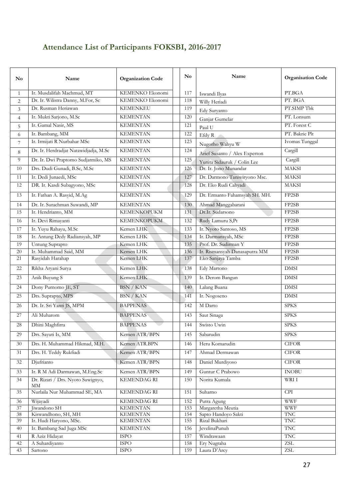# **Attendance List of Participants FOKSBI, 2016-2017**

| N <sub>0</sub> | Name                                          | <b>Organization Code</b>           | $\mathbf{N}\mathbf{o}$ | Name                                 | <b>Organisation Code</b> |
|----------------|-----------------------------------------------|------------------------------------|------------------------|--------------------------------------|--------------------------|
| 1              | Ir. Musdalifah Machmud, MT                    | KEMENKO Ekonomi                    | 117                    | Iswandi Ilvas                        | PT.BGA                   |
| 2              | Dr. Ir. Wilistra Danny, M.For, Sc             | KEMENKO Ekonomi                    | 118                    | Willy Heriadi                        | PT. BGA                  |
| 3              | Dr. Rusman Heriawan                           | <b>KEMENKEU</b>                    | 119                    | Edy Suryanto                         | PT.SIMP Tbk              |
| $\overline{4}$ | Ir. Mukti Sarjono, M.Sc                       | <b>KEMENTAN</b>                    | 120                    | Ganjar Gumelar                       | PT. Lonsum               |
| 5              | Ir. Gamal Nasir, MS                           | <b>KEMENTAN</b>                    | 121                    | Paul U                               | PT. Forest C             |
| 6              | Ir. Bambang, MM                               | <b>KEMENTAN</b>                    | 122                    | Efdy $R$                             | PT. Bakrie Plt           |
| $\overline{7}$ | Ir. Irmijati R Nurbahar MSc                   | <b>KEMENTAN</b>                    | 123                    | Nugorho Wahyu W                      | Ivomas Tunggal           |
| 8              | Dr. Ir. Herdradjat Natawidjadja, M.Sc         | <b>KEMENTAN</b>                    | 124                    | Arief Susanto / Alex Experton        | Cargill                  |
| 9              | Dr. Ir. Dwi Praptomo Sudjatmiko, MS           | <b>KEMENTAN</b>                    | 125                    | Yunita Sidauruk / Colin Lee          | Cargill                  |
| 10             | Drs. Dudi Gunadi, B.Sc, M.Sc                  | <b>KEMENTAN</b>                    | 126                    | Dr. Ir. Jono Munandar                | <b>MAKSI</b>             |
| 11             | Ir. Dedi Junaedi, MSc                         | <b>KEMENTAN</b>                    | 127                    | Dr. Darmono Taniwiryono Msc.         | <b>MAKSI</b>             |
| 12             | DR. Ir. Kasdi Subagyono, MSc                  | <b>KEMENTAN</b>                    | 128                    | Dr. Eko Rudi Cahyadi                 | <b>MAKSI</b>             |
| 13             | Ir. Fathan A. Rasyid, M.Ag                    | <b>KEMENTAN</b>                    | 129                    | Dr. Ermanto Fahamsyah SH. MH.        | FP2SB                    |
| 14             | Dr. Ir. Surachman Suwandi, MP                 | <b>KEMENTAN</b>                    | 130                    | Ahmad Manggabarani                   | FP2SB                    |
| 15             | Ir. Hendrianto, MM                            | <b>KEMENKOPUKM</b>                 | 131                    | Dr.Ir. Sudarsono                     | FP2SB                    |
| 16             | Ir. Devi Rimayanti                            | <b>KEMENKOPUKM</b>                 | 132                    | Rudy Lamuru S, Pt                    | FP2SB                    |
| 17             | Ir. Yuyu Rahayu, M.Sc                         | Kemen LHK                          | 133                    | Ir. Nyoto Santoso, MS                | FP2SB                    |
| 18             | Ir. Antung Dedy Radiansyah, MP                | Kemen LHK                          | 134                    | Ir. Darmansyah, MSc                  | FP2SB                    |
| 19             | <b>Untung Suprapto</b>                        | Kemen LHK                          | 135                    | Prof. Dr. Sudirman Y                 | FP2SB                    |
| 20             | Ir. Muhammad Said, MM                         | Kemen LHK                          | 136                    | Ir. Rismansyah Danasaputra MM        | FP2SB                    |
| 21             | Rasyidah Harahap                              | Kemen LHK                          | 137                    | Eko Sanjaya Tamba                    | FP2SB                    |
| 22             | Rikha Aryani Surya                            | Kemen LHK                          | 138                    | Edy Martono                          | <b>DMSI</b>              |
| 23             | Anik Buyung S                                 | Kemen LHK                          | 139                    | Ir. Derom Bangun                     | <b>DMSI</b>              |
| 24             | Dony Purnomo JE, ST                           | <b>BSN</b> / KAN                   | 140                    | Lalang Buana                         | <b>DMSI</b>              |
| 25             | Drs. Suprapto, MPS                            | <b>BSN</b> / KAN                   | 141                    | Ir. Nogoseno                         | <b>DMSI</b>              |
| 26             | Dr. Ir. Sri Yanti JS, MPM                     | <b>BAPPENAS</b>                    | 142                    | M Darto                              | <b>SPKS</b>              |
| 27             | Ali Muharom                                   | <b>BAPPENAS</b>                    | 143                    | Saut Sinaga                          | <b>SPKS</b>              |
| 28             | Dhini Maghfirra                               | <b>BAPPENAS</b>                    | 144                    | Swisto Uwin                          | <b>SPKS</b>              |
| 29             | Drs. Sayuti Is, MM                            | Kemen ATR/BPN                      | 145                    | Sabarudin                            | <b>SPKS</b>              |
| 30             | Drs. H. Muhammad Hikmad, M.H.                 | Kemen ATR.BPN                      | 146                    | Heru Komarudin                       | <b>CIFOR</b>             |
| 31             | Drs. H. Teddy Rukfiadi                        | Kemen ATR/BPN                      | 147                    | Ahmad Dermawan                       | <b>CIFOR</b>             |
| 32             | Djufrianto                                    | Kemen ATR/BPN                      | 148                    | Daniel Murdiyoso                     | <b>CIFOR</b>             |
| 33             | Ir. R M Adi Darmawan, M.Eng.Sc                | Kemen ATR/BPN                      | 149                    | Guntur C Prabowo                     | <b>INOBU</b>             |
| 34             | Dr. Rizari / Drs. Nyoto Suwignyo,<br>MМ       | <b>KEMENDAG RI</b>                 | 150                    | Norita Kumala                        | WRI I                    |
| 35             | Nurlaila Nur Muhammad SE, MA                  | <b>KEMENDAG RI</b>                 | 151                    | Suharno                              | <b>CPI</b>               |
| 36             | Wijayadi                                      | KEMENDAG RI                        | 152                    | Putra Agung                          | <b>WWF</b>               |
| 37             | Jiwandono SH                                  | <b>KEMENTAN</b>                    | 153                    | Margaretha Meutia                    | <b>WWF</b>               |
| 38<br>39       | Kiswandhono, SH, MH<br>Ir. Hudi Haryono, MSc. | <b>KEMENTAN</b><br><b>KEMENTAN</b> | 154<br>155             | Sapto Handoyo Sakti<br>Rizal Bukhari | <b>TNC</b><br><b>TNC</b> |
| 40             | Ir. Bambang Sad Juga MSc                      | <b>KEMENTAN</b>                    | 156                    | JevelinaPunuh                        | <b>TNC</b>               |
| 41             | R Aziz Hidayat                                | <b>ISPO</b>                        | 157                    | Windrawaan                           | <b>TNC</b>               |
| 42             | A Suhardiyanto                                | <b>ISPO</b>                        | 158                    | Ery Nugraha                          | ZSL                      |
| 43             | Sartono                                       | <b>ISPO</b>                        | 159                    | Laura D'Arcy                         | ZSL                      |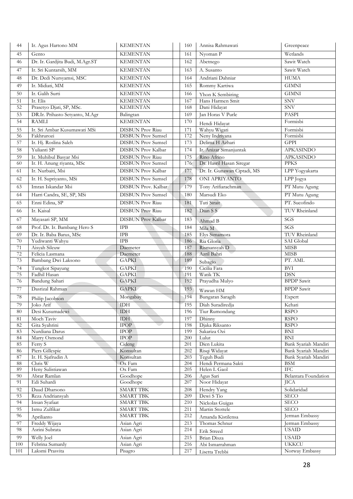| 44              | Ir. Agus Hartono MM             | <b>KEMENTAN</b>               | 160        | Annisa Rahmawati               | Greenpeace                     |
|-----------------|---------------------------------|-------------------------------|------------|--------------------------------|--------------------------------|
| 45              | Gento                           | <b>KEMENTAN</b>               | 161        | Nyoman P                       | Wetlands                       |
| 46              | Dr. Ir. Gardjita Budi, M.Agr.ST | <b>KEMENTAN</b>               | 162        | Abetnego                       | Sawit Watch                    |
| 47              | Ir. Sri Kuntarsih, MM           | <b>KEMENTAN</b>               | 163        | A. Susanto                     | Sawit Watch                    |
| 48              | Dr. Dedi Nursyamsi, MSC         | <b>KEMENTAN</b>               | 164        | Andriani Dahniar               | <b>HUMA</b>                    |
| 49              | Ir. Midiati, MM                 | <b>KEMENTAN</b>               | 165        | Rommy Kartiwa                  | <b>GIMNI</b>                   |
| 50              | Ir. Galih Surti                 | <b>KEMENTAN</b>               | 166        | Yhon K Sembiring               | <b>GIMNI</b>                   |
| 51              | Ir. Elis                        | <b>KEMENTAN</b>               | 167        | Hans Harmen Smit               | <b>SNV</b>                     |
| 52              | Prasetyo Djati, SP, MSc.        | <b>KEMENTAN</b>               | 168        | Dani Hidayat                   | <b>SNV</b>                     |
| $\overline{53}$ | DR.Ir. Prihasto Setyanto, M.Agr | Balingtan                     | 169        | Jan Horas V Purle              | PASPI                          |
| 54              | <b>RAMLI</b>                    | <b>KEMENTAN</b>               | 170        | Hendi Hidayat                  | Formisbi                       |
| 55              | Ir. Sri Ambar Kusumawati MSi    | <b>DISBUN Prov Riau</b>       | 171        | Wahyu Wigati                   | Formisbi                       |
| 56              | Fakhrurozi                      | <b>DISBUN Prov Sumsel</b>     | 172        | Neny Indriyana                 | Formisbi                       |
| 57              | Ir. Hj. Roslina Saleh           | <b>DISBUN Prov Sumsel</b>     | 173        | Delima H Azhari                | <b>GPPI</b>                    |
| 58              | Yulianti SP                     | <b>DISBUN Prov Kalbar</b>     | 174        | Ir. Anizar Simanjuntak         | <b>APKASINDO</b>               |
| 59              | Ir. Muhibul Basyar Msi          | <b>DISBUN Prov Riau</b>       | 175        | Rino Afrino                    | <b>APKASINDO</b>               |
| 60              | Ir. H. Anung riyanta, MSc       | <b>DISBUN Prov Sumsel</b>     | 176        | Dr. Hasril Hasan Siregar       | <b>PPKS</b>                    |
| 61              | Ir. Nurbaiti, Msi               | <b>DISBUN Prov Kalbar</b>     | 177        | Dr. Ir. Gunawan Ciptadi, MS    | LPP Yogyakarta                 |
| 62              | Ir. H. Supriyanto, MSi          | <b>DISBUN Prov Sumsel</b>     | 178        | <b>ONI APRIYANTO</b>           | LPP Jogya                      |
| 63              | Imran Iskandar Msi              | <b>DISBUN Prov. Kalbar</b>    | 179        | Tony Arifiarachman             | PT Mutu Agung                  |
| 64              | Harri Candra, SE, SP, MSi       | <b>DISBUN Prov Sumsel</b>     | 180        | Marsudi Eko                    | PT Mutu Agung                  |
| 65              | Enni Edina, SP                  | <b>DISBUN Prov Riau</b>       | 181        | Tuti Sirait                    | PT. Sucofindo                  |
| 66              | Ir. Kaisal                      | <b>DISBUN Prov Riau</b>       | 182        | Dian S S                       | TUV Rheinland                  |
| 67              | Mayasari SP, MM                 | <b>DISBUN Prov Kalbar</b>     | 183        | Ahmad B                        | SGS                            |
| 68              | Prof. Dr. Ir. Bambang Hero S    | <b>IPB</b>                    | 184        | Mila M                         | SGS                            |
| 69              | Dr. Ir. Baba Barus, MSc         | <b>IPB</b>                    | 185        | Elys Simamora                  | TUV Rheinland                  |
| 70              | Yudiwanti Wahyu                 | <b>IPB</b>                    | 186        | Ria Gloria                     | SAI Global                     |
| 71              | Aisyah Sileuw                   | Daemeter                      | 187        | Rismansyah D                   | <b>MISB</b>                    |
| 72              | Felicia Lasmana                 | Daemeter                      | 188        | Azril Bahri                    | <b>MISB</b>                    |
| 73              | Bambang Dwi Laksono             | <b>GAPKI</b>                  | 189        | Subagio                        | PT. AML                        |
| 74              | Tungkot Sipayung                | <b>GAPKI</b>                  | 190        | Cicilia Fara                   | <b>BVI</b>                     |
| 75              | Fadhil Hasan                    | <b>GAPKI</b>                  | 191        | Watik TK                       | <b>DSN</b>                     |
| 76              | Bandung Sahari                  | <b>GAPKI</b>                  | 192        | Prayudha Mulyo                 | <b>BPDP</b> Sawit              |
| 77              | Dasrizal Rahman                 | <b>GAPKI</b>                  | 193        | Wawan HM                       | <b>BPDP</b> Sawit              |
| 78              | Philip Jacobson                 | Mongabay                      | 194        | Bungaran Saragih               | Expert                         |
| 79              | Joko Arif                       | IDH                           | 195        | Diah Suradiredja               | Kehati                         |
| 80              | Desi Kusumadewi                 | IDH                           | 196        | Tiur Rumondang                 | <b>RSPO</b>                    |
| $81\,$          | Moch Taviv                      | <b>IDH</b>                    | 197        | Dhinny                         | <b>RSPO</b>                    |
| 82              | Gita Syahrini                   | <b>IPOP</b>                   | 198        | Djaka Riksanto                 | <b>RSPO</b>                    |
| 83              | Nurdiana Darus                  | <b>IPOP</b><br><b>IPOP</b>    | 199        | Sakariza Ozi                   | BNI<br><b>BNI</b>              |
| 84<br>85        | Marry Osmond<br>Ferry S         | Cideng                        | 200<br>201 | Lulut<br>Dien Lukita           | Bank Syariah Mandiri           |
| 86              | Piers Gillespie                 | Konsultan                     | 202        | Risqi Widayat                  | Bank Syariah Mandiri           |
| $87\,$          | Ir. H. Sjafrudin A              | Konsultan                     | 203        | Teguh Budi                     | Bank Syariah Mandiri           |
| $88\,$          | Chris W                         | Ox Fam                        | 204        | Hendi Permana Sakti            | <b>BSM</b>                     |
| 89              | Heny Sulistiawan                | Ox Fam                        | 205        | Helen L Gaol                   | <b>IFC</b>                     |
| 90              | Abrar Ramlan                    | Goodhope                      | 206        | Agus Sari                      | Belantara Foundation           |
| 91              | Edi Suhardi                     | Goodhope                      | 207        | Noor Hidayat                   | <b>JICA</b>                    |
| 92              | Daud Dharsono                   | <b>SMART TBK</b>              | 208        | Hendry Yang                    | Solidaridad                    |
| 93              | Reza Andriansyah                | <b>SMART TBK</b>              | 209        | Dewi S Tio                     | <b>SECO</b>                    |
| 94              | Insan Syafaat                   | SMART TBK                     | 210        | Nickolas Guigas                | <b>SECO</b>                    |
| 95<br>96        | Ismu Zulfikar                   | SMART TBK<br><b>SMART TBK</b> | 211<br>212 | Martin Stottele                | <b>SECO</b><br>Jerman Embassy  |
| 97              | Aprilianto                      |                               |            | Amanda Kistilensa              |                                |
| 98              | Freddy Wijaya<br>Asrini Subrata | Asian Agri<br>Asian Agri      | 213<br>214 | Thomas Schnur                  | Jerman Embassy<br><b>USAID</b> |
| 99              | Welly Joel                      | Asian Agri                    | 215        | Erik Streed                    | <b>USAID</b>                   |
| 100             | Febrina Sumardy                 | Asian Agri                    | 216        | Brian Disza<br>Abi Ismarrahman | <b>UKKCU</b>                   |
| 101             | Laksmi Prasvita                 | Pisagro                       | 217        | Lisetta Trebbi                 | Norway Embassy                 |
|                 |                                 |                               |            |                                |                                |